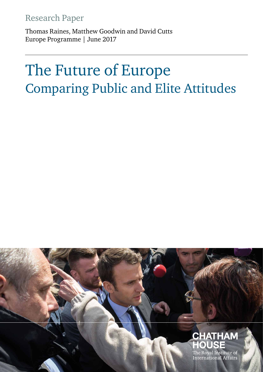# Research Paper

Thomas Raines, Matthew Goodwin and David Cutts Europe Programme | June 2017

# The Future of Europe Comparing Public and Elite Attitudes

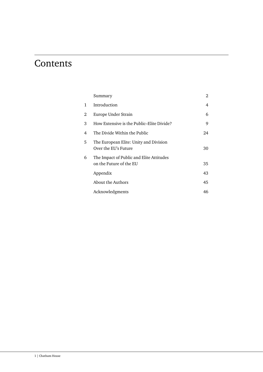# **Contents**

|              | Summary                                                             | 2  |
|--------------|---------------------------------------------------------------------|----|
| $\mathbf{1}$ | Introduction                                                        | 4  |
| 2            | Europe Under Strain                                                 | 6  |
| 3            | How Extensive is the Public–Elite Divide?                           | 9  |
| 4            | The Divide Within the Public                                        | 24 |
| 5            | The European Elite: Unity and Division<br>Over the EU's Future      | 30 |
| 6            | The Impact of Public and Elite Attitudes<br>on the Future of the EU | 35 |
|              | Appendix                                                            | 43 |
|              | About the Authors                                                   | 45 |
|              | Acknowledgments                                                     | 46 |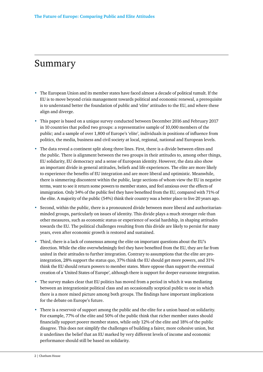# <span id="page-2-0"></span>Summary

- **•** The European Union and its member states have faced almost a decade of political tumult. If the EU is to move beyond crisis management towards political and economic renewal, a prerequisite is to understand better the foundation of public and 'elite' attitudes to the EU, and where these align and diverge.
- **•** This paper is based on a unique survey conducted between December 2016 and February 2017 in 10 countries that polled two groups: a representative sample of 10,000 members of the public; and a sample of over 1,800 of Europe's 'elite', individuals in positions of influence from politics, the media, business and civil society at local, regional, national and European levels.
- **•** The data reveal a continent split along three lines. First, there is a divide between elites and the public. There is alignment between the two groups in their attitudes to, among other things, EU solidarity, EU democracy and a sense of European identity. However, the data also show an important divide in general attitudes, beliefs and life experiences. The elite are more likely to experience the benefits of EU integration and are more liberal and optimistic. Meanwhile, there is simmering discontent within the public, large sections of whom view the EU in negative terms, want to see it return some powers to member states, and feel anxious over the effects of immigration. Only 34% of the public feel they have benefited from the EU, compared with 71% of the elite. A majority of the public (54%) think their country was a better place to live 20 years ago.
- **•** Second, within the public, there is a pronounced divide between more liberal and authoritarianminded groups, particularly on issues of identity. This divide plays a much stronger role than other measures, such as economic status or experience of social hardship, in shaping attitudes towards the EU. The political challenges resulting from this divide are likely to persist for many years, even after economic growth is restored and sustained.
- **•** Third, there is a lack of consensus among the elite on important questions about the EU's direction. While the elite overwhelmingly feel they have benefited from the EU, they are far from united in their attitudes to further integration. Contrary to assumptions that the elite are prointegration, 28% support the status quo, 37% think the EU should get more powers, and 31% think the EU should return powers to member states. More oppose than support the eventual creation of a 'United States of Europe', although there is support for deeper eurozone integration.
- **•** The survey makes clear that EU politics has moved from a period in which it was mediating between an integrationist political class and an occasionally sceptical public to one in which there is a more mixed picture among both groups. The findings have important implications for the debate on Europe's future.
- **•** There is a reservoir of support among the public and the elite for a union based on solidarity. For example, 77% of the elite and 50% of the public think that richer member states should financially support poorer member states, while only 12% of the elite and 18% of the public disagree. This does not simplify the challenges of building a fairer, more cohesive union, but it underlines the belief that an EU marked by very different levels of income and economic performance should still be based on solidarity.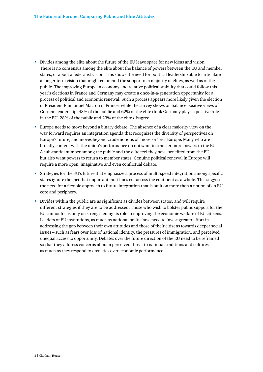- **•** Divides among the elite about the future of the EU leave space for new ideas and vision. There is no consensus among the elite about the balance of powers between the EU and member states, or about a federalist vision. This shows the need for political leadership able to articulate a longer-term vision that might command the support of a majority of elites, as well as of the public. The improving European economy and relative political stability that could follow this year's elections in France and Germany may create a once-in-a-generation opportunity for a process of political and economic renewal. Such a process appears more likely given the election of President Emmanuel Macron in France, while the survey shows on balance positive views of German leadership. 48% of the public and 62% of the elite think Germany plays a positive role in the EU. 28% of the public and 23% of the elite disagree.
- **•** Europe needs to move beyond a binary debate. The absence of a clear majority view on the way forward requires an integration agenda that recognizes the diversity of perspectives on Europe's future, and moves beyond crude notions of 'more' or 'less' Europe. Many who are broadly content with the union's performance do not want to transfer more powers to the EU. A substantial number among the public and the elite feel they have benefited from the EU, but also want powers to return to member states. Genuine political renewal in Europe will require a more open, imaginative and even conflictual debate.
- **•** Strategies for the EU's future that emphasize a process of multi-speed integration among specific states ignore the fact that important fault lines cut across the continent as a whole. This suggests the need for a flexible approach to future integration that is built on more than a notion of an EU core and periphery.
- **•** Divides within the public are as significant as divides between states, and will require different strategies if they are to be addressed. Those who wish to bolster public support for the EU cannot focus only on strengthening its role in improving the economic welfare of EU citizens. Leaders of EU institutions, as much as national politicians, need to invest greater effort in addressing the gap between their own attitudes and those of their citizens towards deeper social issues – such as fears over loss of national identity, the pressures of immigration, and perceived unequal access to opportunity. Debates over the future direction of the EU need to be reframed so that they address concerns about a perceived threat to national traditions and cultures as much as they respond to anxieties over economic performance.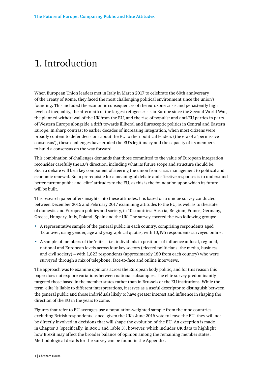# <span id="page-4-0"></span>1. Introduction

When European Union leaders met in Italy in March 2017 to celebrate the 60th anniversary of the Treaty of Rome, they faced the most challenging political environment since the union's founding. This included the economic consequences of the eurozone crisis and persistently high levels of inequality, the aftermath of the largest refugee crisis in Europe since the Second World War, the planned withdrawal of the UK from the EU, and the rise of populist and anti-EU parties in parts of Western Europe alongside a drift towards illiberal and Eurosceptic politics in Central and Eastern Europe. In sharp contrast to earlier decades of increasing integration, when most citizens were broadly content to defer decisions about the EU to their political leaders (the era of a 'permissive consensus'), these challenges have eroded the EU's legitimacy and the capacity of its members to build a consensus on the way forward.

This combination of challenges demands that those committed to the value of European integration reconsider carefully the EU's direction, including what its future scope and structure should be. Such a debate will be a key component of steering the union from crisis management to political and economic renewal. But a prerequisite for a meaningful debate and effective responses is to understand better current public and 'elite' attitudes to the EU, as this is the foundation upon which its future will be built.

This research paper offers insights into these attitudes. It is based on a unique survey conducted between December 2016 and February 2017 examining attitudes to the EU, as well as to the state of domestic and European politics and society, in 10 countries: Austria, Belgium, France, Germany, Greece, Hungary, Italy, Poland, Spain and the UK. The survey covered the two following groups:

- **•** A representative sample of the general public in each country, comprising respondents aged 18 or over, using gender, age and geographical quotas, with 10,195 respondents surveyed online.
- **•** A sample of members of the 'elite' i.e. individuals in positions of influence at local, regional, national and European levels across four key sectors (elected politicians, the media, business and civil society) – with 1,823 respondents (approximately 180 from each country) who were surveyed through a mix of telephone, face-to-face and online interviews.

The approach was to examine opinions across the European body politic, and for this reason this paper does not explore variations between national subsamples. The elite survey predominantly targeted those based in the member states rather than in Brussels or the EU institutions. While the term 'elite' is liable to different interpretations, it serves as a useful descriptor to distinguish between the general public and those individuals likely to have greater interest and influence in shaping the direction of the EU in the years to come.

Figures that refer to EU averages use a population-weighted sample from the nine countries excluding British respondents, since, given the UK's June 2016 vote to leave the EU, they will not be directly involved in decisions that will shape the evolution of the EU. An exception is made in Chapter 3 (specifically, in Box 1 and Table 3), however, which includes UK data to highlight how Brexit may affect the broader balance of opinion among the remaining member states. Methodological details for the survey can be found in the Appendix.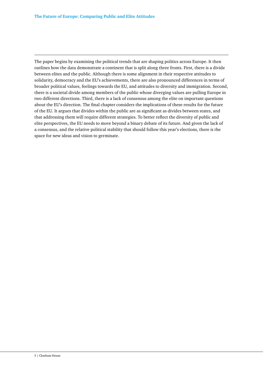The paper begins by examining the political trends that are shaping politics across Europe. It then outlines how the data demonstrate a continent that is split along three fronts. First, there is a divide between elites and the public. Although there is some alignment in their respective attitudes to solidarity, democracy and the EU's achievements, there are also pronounced differences in terms of broader political values, feelings towards the EU, and attitudes to diversity and immigration. Second, there is a societal divide among members of the public whose diverging values are pulling Europe in two different directions. Third, there is a lack of consensus among the elite on important questions about the EU's direction. The final chapter considers the implications of these results for the future of the EU. It argues that divides within the public are as significant as divides between states, and that addressing them will require different strategies. To better reflect the diversity of public and elite perspectives, the EU needs to move beyond a binary debate of its future. And given the lack of a consensus, and the relative political stability that should follow this year's elections, there is the space for new ideas and vision to germinate.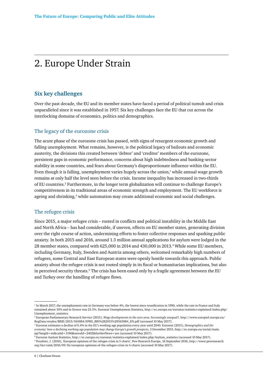# <span id="page-6-0"></span>2. Europe Under Strain

# **Six key challenges**

Over the past decade, the EU and its member states have faced a period of political tumult and crisis unparalleled since it was established in 1957. Six key challenges face the EU that cut across the interlocking domains of economics, politics and demographics.

### The legacy of the eurozone crisis

The acute phase of the eurozone crisis has passed, with signs of resurgent economic growth and falling unemployment. What remains, however, is the political legacy of bailouts and economic austerity, the divisions this created between 'debtor' and 'creditor' members of the eurozone, persistent gaps in economic performance, concerns about high indebtedness and banking-sector stability in some countries, and fears about Germany's disproportionate influence within the EU. Even though it is falling, unemployment varies hugely across the union, $^1$  while annual wage growth remains at only half the level seen before the crisis. Income inequality has increased in two-thirds of EU countries.<sup>2</sup> Furthermore, in the longer term globalization will continue to challenge Europe's competitiveness in its traditional areas of economic strength and employment. The EU workforce is ageing and shrinking, $3$  while automation may create additional economic and social challenges.

### The refugee crisis

Since 2015, a major refugee crisis – rooted in conflicts and political instability in the Middle East and North Africa – has had considerable, if uneven, effects on EU member states, generating division over the right course of action, undermining efforts to foster collective responses and sparking public anxiety. In both 2015 and 2016, around 1.3 million annual applications for asylum were lodged in the 28 member states, compared with 625,000 in 2014 and 430,000 in 2013.4 While some EU members, including Germany, Italy, Sweden and Austria among others, welcomed remarkably high numbers of refugees, some Central and East European states were openly hostile towards this approach. Public anxiety about the refugee crisis is not rooted simply in its fiscal or humanitarian implications, but also in perceived security threats. $^5$  The crisis has been eased only by a fragile agreement between the EU  $\,$ and Turkey over the handling of refugee flows.

<sup>&</sup>lt;sup>1</sup> In March 2017, the unemployment rate in Germany was below 4%, the lowest since reunification in 1990, while the rate in France and Italy remained above 10% and in Greece was 23.5%. Eurostat Unemployment Statistics, [http://ec.europa.eu/eurostat/statistics-explained/index.php/](http://ec.europa.eu/eurostat/statistics-explained/index.php/Unemployment_statistics) [Unemployment\\_statistics.](http://ec.europa.eu/eurostat/statistics-explained/index.php/Unemployment_statistics)

<sup>2</sup> European Parliamentary Research Service (2015), *Wage developments in the euro area: Increasingly unequal?,* [http://www.europarl.europa.eu/](http://www.europarl.europa.eu/RegData/etudes/BRIE/2015/565884/EPRS_BRI%282015%29565884_EN.pdf) [RegData/etudes/BRIE/2015/565884/EPRS\\_BRI%282015%29565884\\_EN.pdf](http://www.europarl.europa.eu/RegData/etudes/BRIE/2015/565884/EPRS_BRI%282015%29565884_EN.pdf) (accessed 10 May 2017).

<sup>3</sup> Eurostat estimates a decline of 0.4% in the EU's working-age population every year until 2040. Eurostat (2015), *Demographics and the economy: how a declining working-age population may change Europe's growth prospects*, 3 December 2015, [http://ec.europa.eu/social/main.](http://ec.europa.eu/social/main.jsp?langId=en&catId=1196&newsId=2402&furtherNews=yes) [jsp?langId=en&catId=1196&newsId=2402&furtherNews=yes](http://ec.europa.eu/social/main.jsp?langId=en&catId=1196&newsId=2402&furtherNews=yes) (accessed 10 May 2017).

<sup>4</sup> Eurostat Asylum Statistics, [http://ec.europa.eu/eurostat/statistics-explained/index.php/Asylum\\_statistics](http://ec.europa.eu/eurostat/statistics-explained/index.php/Asylum_statistics) (accessed 10 May 2017). <sup>5</sup> Poushter, J. (2016), 'European opinions of the refugee crisis in 5 charts', Pew Research Europe, 16 September 2016, http://www.pewresearch. org/fact-tank/2016/09/16/european-opinions-of-the-refugee-crisis-in-5-charts (accessed 10 May 2017).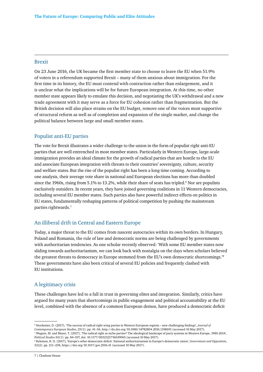### Brexit

On 23 June 2016, the UK became the first member state to choose to leave the EU when 51.9% of voters in a referendum supported Brexit – many of them anxious about immigration. For the first time in its history, the EU must contend with contraction rather than enlargement, and it is unclear what the implications will be for future European integration. At this time, no other member state appears likely to emulate this decision, and negotiating the UK's withdrawal and a new trade agreement with it may serve as a force for EU cohesion rather than fragmentation. But the British decision will also place strains on the EU budget, remove one of the voices most supportive of structural reform as well as of completion and expansion of the single market, and change the political balance between large and small member states.

### Populist anti-EU parties

The vote for Brexit illustrates a wider challenge to the union in the form of populist right anti-EU parties that are well entrenched in most member states. Particularly in Western Europe, large-scale immigration provides an ideal climate for the growth of radical parties that are hostile to the EU and associate European integration with threats to their countries' sovereignty, culture, security and welfare states.But the rise of the populist right has been a long time coming. According to one analysis, their average vote share in national and European elections has more than doubled since the 1960s, rising from 5.1% to 13.2%, while their share of seats has tripled.<sup>6</sup> Nor are populists exclusively outsiders. In recent years, they have joined governing coalitions in 11 Western democracies, including several EU member states. Such parties also have powerful indirect effects on politics in EU states, fundamentally reshaping patterns of political competition by pushing the mainstream parties rightwards.7

### An illiberal drift in Central and Eastern Europe

Today, a major threat to the EU comes from nascent autocracies within its own borders. In Hungary, Poland and Romania, the rule of law and democratic norms are being challenged by governments with authoritarian tendencies. As one scholar recently observed: 'With some EU member states now sliding towards authoritarianism, we can look back with nostalgia on the days when scholars believed the greatest threats to democracy in Europe stemmed from the EU's own democratic shortcomings.'8 These governments have also been critical of several EU policies and frequently clashed with EU institutions.

### A legitimacy crisis

These challenges have led to a fall in trust in governing elites and integration. Similarly, critics have argued for many years that shortcomings in public engagement and political accountability at the EU level, combined with the absence of a common European demos, have produced a democratic deficit

<sup>6</sup> Stockemer, D. (2017), 'The success of radical right-wing parties in Western European regions – new challenging findings', *Journal of Contemporary European Studies*, 25(1): pp. 41–56, <http://dx.doi.org/10.1080/14782804.2016.1198691>(accessed 10 May 2017).

<sup>7</sup> Wagner, M. and Meyer, T. (2017), 'The radical right as niche parties? The ideological landscape of party systems in Western Europe, 1980-2014', *Political Studies* 65(1): pp. 84–107, doi: 10.1177/0032321716639065 (accessed 10 May 2017).

<sup>8</sup> Kelemen, R. D. (2017), 'Europe's other democratic deficit: National authoritarianism in Europe's democratic union', *Government and Opposition*, 52(2): pp. 211–238,<https://doi.org/10.1017/gov.2016.41> (accessed 10 May 2017).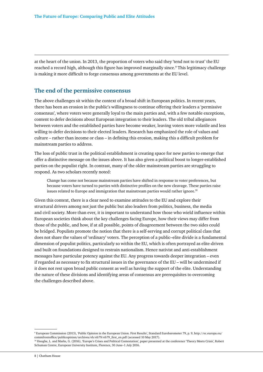at the heart of the union. In 2013, the proportion of voters who said they 'tend not to trust' the EU reached a record high, although this figure has improved marginally since.9 This legitimacy challenge is making it more difficult to forge consensus among governments at the EU level.

# **The end of the permissive consensus**

The above challenges sit within the context of a broad shift in European politics. In recent years, there has been an erosion in the public's willingness to continue offering their leaders a 'permissive consensus', where voters were generally loyal to the main parties and, with a few notable exceptions, content to defer decisions about European integration to their leaders. The old tribal allegiances between voters and the established parties have become weaker, leaving voters more volatile and less willing to defer decisions to their elected leaders. Research has emphasized the role of values and culture – rather than income or class – in defining this erosion, making this a difficult problem for mainstream parties to address.

The loss of public trust in the political establishment is creating space for new parties to emerge that offer a distinctive message on the issues above. It has also given a political boost to longer-established parties on the populist right. In contrast, many of the older mainstream parties are struggling to respond. As two scholars recently noted:

Change has come not because mainstream parties have shifted in response to voter preferences, but because voters have turned to parties with distinctive profiles on the new cleavage. These parties raise issues related to Europe and immigration that mainstream parties would rather ignore.<sup>10</sup>

Given this context, there is a clear need to examine attitudes to the EU and explore their structural drivers among not just the public but also leaders from politics, business, the media and civil society. More than ever, it is important to understand how those who wield influence within European societies think about the key challenges facing Europe, how their views may differ from those of the public, and how, if at all possible, points of disagreement between the two sides could be bridged. Populists promote the notion that there is a self-serving and corrupt political class that does not share the values of 'ordinary' voters. The perception of a public–elite divide is a fundamental dimension of populist politics, particularly so within the EU, which is often portrayed as elite-driven and built on foundations designed to restrain nationalism. Hence nativist and anti-establishment messages have particular potency against the EU. Any progress towards deeper integration – even if regarded as necessary to fix structural issues in the governance of the EU – will be undermined if it does not rest upon broad public consent as well as having the support of the elite. Understanding the nature of these divisions and identifying areas of consensus are prerequisites to overcoming the challenges described above.

<sup>9</sup> European Commission (2013), 'Public Opinion in the European Union. First Results', Standard Eurobarometer 79, p. 9, [http://ec.europa.eu/](http://ec.europa.eu/commfrontoffice/publicopinion/archives/eb/eb79/eb79_first_en.pdf) [commfrontoffice/publicopinion/archives/eb/eb79/eb79\\_first\\_en.pdf](http://ec.europa.eu/commfrontoffice/publicopinion/archives/eb/eb79/eb79_first_en.pdf) (accessed 10 May 2017).

<sup>10</sup> Hooghe, L. and Marks, G. (2016), 'Europe's Crises and Political Contestation', paper presented at the conference 'Theory Meets Crisis', Robert Schuman Centre, European University Institute, Florence, 30 June–1 July 2016.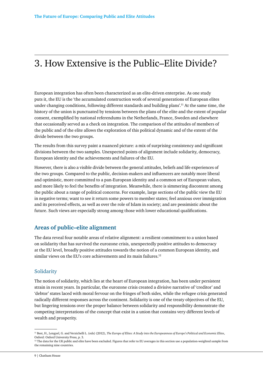# <span id="page-9-0"></span>3. How Extensive is the Public–Elite Divide?

European integration has often been characterized as an elite-driven enterprise. As one study puts it, the EU is the 'the accumulated construction work of several generations of European elites under changing conditions, following different standards and building plans'.<sup>11</sup> At the same time, the history of the union is punctuated by tensions between the plans of the elite and the extent of popular consent, exemplified by national referendums in the Netherlands, France, Sweden and elsewhere that occasionally served as a check on integration. The comparison of the attitudes of members of the public and of the elite allows the exploration of this political dynamic and of the extent of the divide between the two groups.

The results from this survey paint a nuanced picture: a mix of surprising consistency and significant divisions between the two samples. Unexpected points of alignment include solidarity, democracy, European identity and the achievements and failures of the EU.

However, there is also a visible divide between the general attitudes, beliefs and life experiences of the two groups. Compared to the public, decision-makers and influencers are notably more liberal and optimistic, more committed to a pan-European identity and a common set of European values, and more likely to feel the benefits of integration. Meanwhile, there is simmering discontent among the public about a range of political concerns. For example, large sections of the public view the EU in negative terms; want to see it return some powers to member states; feel anxious over immigration and its perceived effects, as well as over the role of Islam in society; and are pessimistic about the future. Such views are especially strong among those with lower educational qualifications.

# **Areas of public–elite alignment**

The data reveal four notable areas of relative alignment: a resilient commitment to a union based on solidarity that has survived the eurozone crisis, unexpectedly positive attitudes to democracy at the EU level, broadly positive attitudes towards the notion of a common European identity, and similar views on the EU's core achievements and its main failures.<sup>12</sup>

### **Solidarity**

The notion of solidarity, which lies at the heart of European integration, has been under persistent strain in recent years. In particular, the eurozone crisis created a divisive narrative of 'creditor' and 'debtor' states laced with moral fervour on the fringes of both sides, while the refugee crisis generated radically different responses across the continent. Solidarity is one of the treaty objectives of the EU, but lingering tensions over the proper balance between solidarity and responsibility demonstrate the competing interpretations of the concept that exist in a union that contains very different levels of wealth and prosperity.

<sup>11</sup> Best, H., Lengyel, G. and Verzichelli L. (eds) (2012), *The Europe of Elites: A Study into the Europeanness of Europe's Political and Economic Elites*, Oxford: Oxford University Press, p. 3.

<sup>&</sup>lt;sup>12</sup> The data for the UK public and elite have been excluded. Figures that refer to EU averages in this section use a population-weighted sample from the remaining nine countries.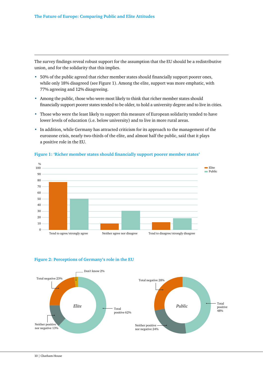The survey findings reveal robust support for the assumption that the EU should be a redistributive union, and for the solidarity that this implies.

- **•** 50% of the public agreed that richer member states should financially support poorer ones, while only 18% disagreed (see Figure 1). Among the elite, support was more emphatic, with 77% agreeing and 12% disagreeing.
- **•** Among the public, those who were most likely to think that richer member states should financially support poorer states tended to be older, to hold a university degree and to live in cities.
- **•** Those who were the least likely to support this measure of European solidarity tended to have lower levels of education (i.e. below university) and to live in more rural areas.
- **•** In addition, while Germany has attracted criticism for its approach to the management of the eurozone crisis, nearly two-thirds of the elite, and almost half the public, said that it plays a positive role in the EU.



### **Figure 1: 'Richer member states should financially support poorer member states'**



### **Figure 2: Perceptions of Germany's role in the EU**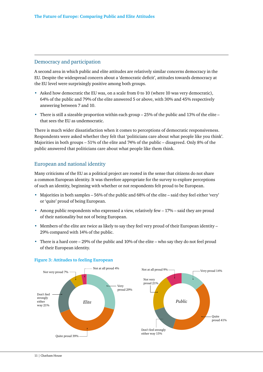### Democracy and participation

A second area in which public and elite attitudes are relatively similar concerns democracy in the EU. Despite the widespread concern about a 'democratic deficit', attitudes towards democracy at the EU level were surprisingly positive among both groups.

- **•** Asked how democratic the EU was, on a scale from 0 to 10 (where 10 was very democratic), 64% of the public and 79% of the elite answered 5 or above, with 30% and 45% respectively answering between 7 and 10.
- **•** There is still a sizeable proportion within each group 25% of the public and 13% of the elite that sees the EU as undemocratic.

There is much wider dissatisfaction when it comes to perceptions of democratic responsiveness. Respondents were asked whether they felt that 'politicians care about what people like you think'. Majorities in both groups – 51% of the elite and 74% of the public – disagreed. Only 8% of the public answered that politicians care about what people like them think.

# European and national identity

Many criticisms of the EU as a political project are rooted in the sense that citizens do not share a common European identity. It was therefore appropriate for the survey to explore perceptions of such an identity, beginning with whether or not respondents felt proud to be European.

- **•** Majorities in both samples 56% of the public and 68% of the elite said they feel either 'very' or 'quite' proud of being European.
- **•** Among public respondents who expressed a view, relatively few 17% said they are proud of their nationality but not of being European.
- **•** Members of the elite are twice as likely to say they feel very proud of their European identity 29% compared with 14% of the public.
- **•** There is a hard core 29% of the public and 10% of the elite who say they do not feel proud of their European identity.



### **Figure 3: Attitudes to feeling European**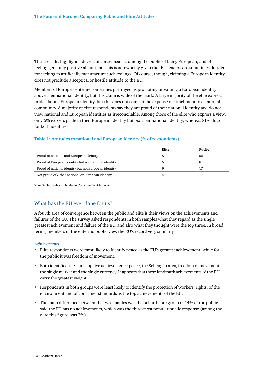These results highlight a degree of consciousness among the public of being European, and of feeling generally positive about that. This is noteworthy given that EU leaders are sometimes derided for seeking to artificially manufacture such feelings. Of course, though, claiming a European identity does not preclude a sceptical or hostile attitude to the EU.

Members of Europe's elite are sometimes portrayed as promoting or valuing a European identity above their national identity, but this claim is wide of the mark. A large majority of the elite express pride about a European identity, but this does not come at the expense of attachment to a national community. A majority of elite respondents say they are proud of their national identity and do not view national and European identities as irreconcilable. Among those of the elite who express a view, only 6% express pride in their European identity but *not* their national identity, whereas 81% do so for both identities.

### **Table 1: Attitudes to national and European identity (% of respondents)**

|                                                      | Elite | Public |
|------------------------------------------------------|-------|--------|
| Proud of national and European identity              | 81    | 58     |
| Proud of European identity but not national identity |       |        |
| Proud of national identity but not European identity |       |        |
| Not proud of either national or European identity    |       |        |

Note: Excludes those who do not feel strongly either way.

# What has the EU ever done for us?

A fourth area of convergence between the public and elite is their views on the achievements and failures of the EU. The survey asked respondents in both samples what they regard as the single greatest achievement and failure of the EU, and also what they thought were the top three. In broad terms, members of the elite and public view the EU's record very similarly.

### *Achievements*

- **•** Elite respondents were most likely to identify peace as the EU's greatest achievement, while for the public it was freedom of movement.
- **•** Both identified the same top five achievements: peace, the Schengen area, freedom of movement, the single market and the single currency. It appears that these landmark achievements of the EU carry the greatest weight.
- **•** Respondents in both groups were least likely to identify the protection of workers' rights, of the environment and of consumer standards as the top achievements of the EU.
- **•** The main difference between the two samples was that a hard-core group of 14% of the public said the EU has no achievements, which was the third-most popular public response (among the elite this figure was 2%).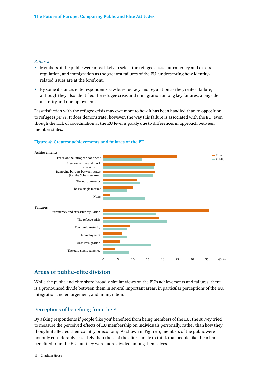#### *Failures*

- **•** Members of the public were most likely to select the refugee crisis, bureaucracy and excess regulation, and immigration as the greatest failures of the EU, underscoring how identityrelated issues are at the forefront.
- **•** By some distance, elite respondents saw bureaucracy and regulation as the greatest failure, although they also identified the refugee crisis and immigration among key failures, alongside austerity and unemployment.

Dissatisfaction with the refugee crisis may owe more to how it has been handled than to opposition to refugees *per se*. It does demonstrate, however, the way this failure is associated with the EU, even though the lack of coordination at the EU level is partly due to differences in approach between member states.



### **Figure 4: Greatest achievements and failures of the EU**

# **Areas of public–elite division**

While the public and elite share broadly similar views on the EU's achievements and failures, there is a pronounced divide between them in several important areas, in particular perceptions of the EU, integration and enlargement, and immigration.

# Perceptions of benefiting from the EU

By asking respondents if people 'like you' benefited from being members of the EU, the survey tried to measure the perceived effects of EU membership on individuals personally, rather than how they thought it affected their country or economy. As shown in Figure 5, members of the public were not only considerably less likely than those of the elite sample to think that people like them had benefited from the EU, but they were more divided among themselves.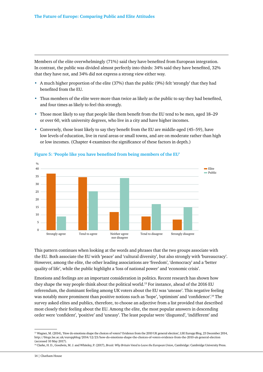Members of the elite overwhelmingly (71%) said they have benefited from European integration. In contrast, the public was divided almost perfectly into thirds: 34% said they have benefited, 32% that they have not, and 34% did not express a strong view either way.

- **•** A much higher proportion of the elite (37%) than the public (9%) felt 'strongly' that they had benefited from the EU.
- **•** Thus members of the elite were more than twice as likely as the public to say they had benefited, and four times as likely to feel this strongly.
- **•** Those most likely to say that people like them benefit from the EU tend to be men, aged 18–29 or over 60, with university degrees, who live in a city and have higher incomes.
- **•** Conversely, those least likely to say they benefit from the EU are middle-aged (45–59), have low levels of education, live in rural areas or small towns, and are on moderate rather than high or low incomes. (Chapter 4 examines the significance of these factors in depth.)



### **Figure 5: 'People like you have benefited from being members of the EU'**

This pattern continues when looking at the words and phrases that the two groups associate with the EU. Both associate the EU with 'peace' and 'cultural diversity', but also strongly with 'bureaucracy'. However, among the elite, the other leading associations are 'freedom', 'democracy' and a 'better quality of life', while the public highlight a 'loss of national power' and 'economic crisis'.

Emotions and feelings are an important consideration in politics. Recent research has shown how they shape the way people think about the political world.13 For instance, ahead of the 2016 EU referendum, the dominant feeling among UK voters about the EU was 'unease'. This negative feeling was notably more prominent than positive notions such as 'hope', 'optimism' and 'confidence'.14 The survey asked elites and publics, therefore, to choose an adjective from a list provided that described most closely their feeling about the EU. Among the elite, the most popular answers in descending order were 'confident', 'positive' and 'uneasy'. The least popular were 'disgusted', 'indifferent' and

<sup>&</sup>lt;sup>13</sup> Wagner, M. (2014), 'How do emotions shape the choices of voters? Evidence from the 2010 UK general election', LSE Europp Blog, 23 December 2014, [http://blogs.lse.ac.uk/europpblog/2014/12/23/how-do-emotions-shape-the-choices-of-voters-evidence-from-the-2010-uk-general-election](http://blogs.lse.ac.uk/europpblog/2014/12/23/how-do-emotions-shape-the-choices-of-voters-evidence-from-the-2010-uk-general-election/(accessed)  (accessed 10 May 2017).

<sup>14</sup> Clarke, H. D., Goodwin, M. J. and Whiteley, P. (2017), *Brexit: Why Britain Voted to Leave the European Union*, Cambridge: Cambridge University Press.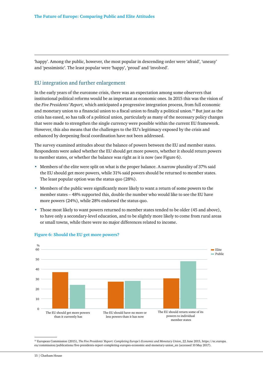'happy'. Among the public, however, the most popular in descending order were 'afraid', 'uneasy' and 'pessimistic'. The least popular were 'happy', 'proud' and 'involved'.

### EU integration and further enlargement

In the early years of the eurozone crisis, there was an expectation among some observers that institutional political reforms would be as important as economic ones. In 2015 this was the vision of the *Five Presidents' Report*, which anticipated a progressive integration process, from full economic and monetary union to a financial union to a fiscal union to finally a political union.15 But just as the crisis has eased, so has talk of a political union, particularly as many of the necessary policy changes that were made to strengthen the single currency were possible within the current EU framework. However, this also means that the challenges to the EU's legitimacy exposed by the crisis and enhanced by deepening fiscal coordination have not been addressed.

The survey examined attitudes about the balance of powers between the EU and member states. Respondents were asked whether the EU should get more powers, whether it should return powers to member states, or whether the balance was right as it is now (see Figure 6).

- **•** Members of the elite were split on what is the proper balance. A narrow plurality of 37% said the EU should get more powers, while 31% said powers should be returned to member states. The least popular option was the status quo (28%).
- **•** Members of the public were significantly more likely to want a return of some powers to the member states – 48% supported this, double the number who would like to see the EU have more powers (24%), while 28% endorsed the status quo.
- **•** Those most likely to want powers returned to member states tended to be older (45 and above), to have only a secondary-level education, and to be slightly more likely to come from rural areas or small towns, while there were no major differences related to income.



### **Figure 6: Should the EU get more powers?**

<sup>&</sup>lt;sup>15</sup> European Commission (2015), *The Five Presidents' Report: Completing Europe's Economic and Monetary Union*, 22 June 2015, [https://ec.europa.](https://ec.europa.eu/commission/publications/five-presidents-report-completing-europes-economic-and-monetary-union_en) [eu/commission/publications/five-presidents-report-completing-europes-economic-and-monetary-union\\_en](https://ec.europa.eu/commission/publications/five-presidents-report-completing-europes-economic-and-monetary-union_en) (accessed 10 May 2017).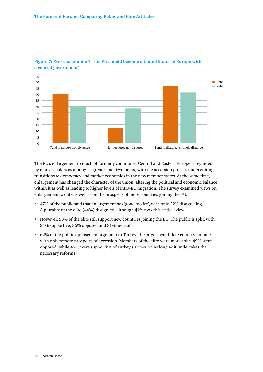

# **Figure 7: Ever closer union? 'The EU should become a United States of Europe with a central government'**

The EU's enlargement to much of formerly communist Central and Eastern Europe is regarded by many scholars as among its greatest achievements, with the accession process underwriting transitions to democracy and market economies in the new member states. At the same time, enlargement has changed the character of the union, altering the political and economic balance within it as well as leading to higher levels of intra-EU migration. The survey examined views on enlargement to date as well as on the prospects of more countries joining the EU.

- **•** 47% of the public said that enlargement has 'gone too far', with only 22% disagreeing. A plurality of the elite (44%) disagreed, although 41% took this critical view.
- **•** However, 58% of the elite still support new countries joining the EU. The public is split, with 34% supportive, 36% opposed and 31% neutral.
- **•** 62% of the public opposed enlargement to Turkey, the largest candidate country but one with only remote prospects of accession. Members of the elite were more split: 49% were opposed, while 42% were supportive of Turkey's accession as long as it undertakes the necessary reforms.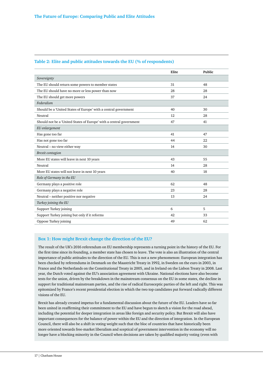|                                                                     | Elite | Public |
|---------------------------------------------------------------------|-------|--------|
| Sovereignty                                                         |       |        |
| The EU should return some powers to member states                   | 31    | 48     |
| The EU should have no more or less power than now                   | 28    | 28     |
| The EU should get more powers                                       | 37    | 24     |
| Federalism                                                          |       |        |
| Should be a 'United States of Europe' with a central government     | 40    | 30     |
| Neutral                                                             | 12    | 28     |
| Should not be a 'United States of Europe' with a central government | 47    | 41     |
| EU enlargement                                                      |       |        |
| Has gone too far                                                    | 41    | 47     |
| Has not gone too far                                                | 44    | 22     |
| Neutral - no view either way                                        | 14    | 30     |
| Brexit contagion                                                    |       |        |
| More EU states will leave in next 10 years                          | 43    | 55     |
| Neutral                                                             | 14    | 28     |
| More EU states will not leave in next 10 years                      | 40    | 18     |
| Role of Germany in the EU                                           |       |        |
| Germany plays a positive role                                       | 62    | 48     |
| Germany plays a negative role                                       | 23    | 28     |
| Neutral - neither positive nor negative                             | 13    | 24     |
| Turkey joining the EU                                               |       |        |
| Support Turkey joining                                              | 6     | 5      |
| Support Turkey joining but only if it reforms                       | 42    | 33     |
| Oppose Turkey joining                                               | 49    | 62     |

### **Table 2: Elite and public attitudes towards the EU (% of respondents)**

### **Box 1: How might Brexit change the direction of the EU?**

The result of the UK's 2016 referendum on EU membership represents a turning point in the history of the EU. For the first time since its founding, a member state has chosen to leave. The vote is also an illustration of the central importance of public attitudes to the direction of the EU. This is not a new phenomenon: European integration has been checked by referendums in Denmark on the Maastricht Treaty in 1992, in Sweden on the euro in 2003, in France and the Netherlands on the Constitutional Treaty in 2005, and in Ireland on the Lisbon Treaty in 2008. Last year, the Dutch voted against the EU's association agreement with Ukraine. National elections have also become tests for the union, driven by the breakdown in the mainstream consensus on the EU in some states, the decline in support for traditional mainstream parties, and the rise of radical Eurosceptic parties of the left and right. This was epitomized by France's recent presidential election in which the two top candidates put forward radically different visions of the EU.

Brexit has already created impetus for a fundamental discussion about the future of the EU. Leaders have so far been united in reaffirming their commitment to the EU and have begun to sketch a vision for the road ahead, including the potential for deeper integration in areas like foreign and security policy. But Brexit will also have important consequences for the balance of power within the EU and the direction of integration. In the European Council, there will also be a shift in voting weight such that the bloc of countries that have historically been more oriented towards free-market liberalism and sceptical of government intervention in the economy will no longer have a blocking minority in the Council when decisions are taken by qualified majority voting (even with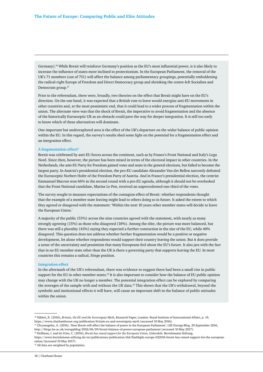Germany).16 While Brexit will reinforce Germany's position as the EU's most influential power, is it also likely to increase the influence of states more inclined to protectionism. In the European Parliament, the removal of the UK's 71 members (out of 751) will affect the balance among parliamentary groupings, potentially emboldening the radical-right Europe of Freedom and Direct Democracy group and shrinking the centre-left Socialists and Democrats group.17

Prior to the referendum, there were, broadly, two theories on the effect that Brexit might have on the EU's direction. On the one hand, it was expected that a British vote to leave would energize anti-EU movements in other countries and, at the most pessimistic end, that it could lead to a wider process of fragmentation within the union. The alternate view was that the shock of Brexit, the imperative to avoid fragmentation and the absence of the historically Eurosceptic UK as an obstacle could pave the way for deeper integration. It is still too early to know which of these alternatives will dominate.

One important but underexplored area is the effect of the UK's departure on the wider balance of public opinion within the EU. In this regard, the survey's results shed some light on the potential for a fragmentation effect and an integration effect.

#### **A fragmentation effect?**

Brexit was celebrated by anti-EU forces across the continent, such as by France's Front National and Italy's Lega Nord. Since then, however, the picture has been mixed in terms of the electoral impact in other countries. In the Netherlands, the anti-EU Party for Freedom gained votes and seats in the general elections, but failed to become the largest party. In Austria's presidential election, the pro-EU candidate Alexander Van der Bellen narrowly defeated the Eurosceptic Norbert Hofer of the Freedom Party of Austria. And in France's presidential election, the centrist Emmanuel Macron won 66% in the second round with a pro-EU agenda, although it should not be overlooked that the Front National candidate, Marine Le Pen, received an unprecedented one-third of the votes.

The survey sought to measure expectations of the contagion effect of Brexit: whether respondents thought that the example of a member state leaving might lead to others doing so in future. It asked the extent to which they agreed or disagreed with the statement: 'Within the next 10 years other member states will decide to leave the European Union.'

A majority of the public (55%) across the nine countries agreed with the statement, with nearly as many strongly agreeing (15%) as those who disagreed (18%). Among the elite, the picture was more balanced, but there was still a plurality (43%) saying they expected a further contraction in the size of the EU, while 40% disagreed. This question does not address whether further fragmentation would be a positive or negative development, let alone whether respondents would support their country leaving the union. But it does provide a sense of the uncertainty and pessimism that many Europeans feel about the EU's future. It also jars with the fact that in no EU member state other than the UK is there a governing party that supports leaving the EU. In most countries this remains a radical, fringe position.

#### **Integration effect**

In the aftermath of the UK's referendum, there was evidence to suggest there had been a small rise in public support for the EU in other member states.<sup>18</sup> It is also important to consider how the balance of EU public opinion may change with the UK no longer a member. The potential integration effect can be explored by comparing the averages of the sample with and without the UK data.19 This shows that the UK's withdrawal, beyond the symbolic and institutional effects it will have, will cause an important shift in the balance of public attitudes within the union.

<sup>19</sup> All data are weighted by population.

<sup>16</sup> Niblett, R. (2016), *Britain, the EU and the Sovereignty Myth*, Research Paper, London: Royal Institute of International Affairs, p. 19, <https://www.chathamhouse.org/publication/britain-eu-and-sovereignty-myth>(accessed 10 May 2016).

<sup>&</sup>lt;sup>17</sup> Chryssogelos, A. (2016), 'How Brexit will affect the balance of power in the European Parliament', LSE Europp Blog, 29 September 2016, [http://blogs.lse.ac.uk/europpblog/2016/06/29/brexit-balance-of-power-european-parliament \(](http://blogs.lse.ac.uk/europpblog/2016/06/29/brexit-balance-of-power-european-parliament/)accessed 10 May 2017).

<sup>18</sup> Hoffman, I. and de Vries, C. (2016), *Brexit has raised support for the European Union*, Gütersloh: Bertelsmann Stiftung,

[https://www.bertelsmann-stiftung.de/en/publications/publication/did/flashlight-europe-022016-brexit-has-raised-support-for-the-european](https://www.bertelsmann-stiftung.de/en/publications/publication/did/flashlight-europe-022016-brexit-has-raised-support-for-the-european-union/(accessed)[union/\(accessed](https://www.bertelsmann-stiftung.de/en/publications/publication/did/flashlight-europe-022016-brexit-has-raised-support-for-the-european-union/(accessed) 10 May 2017).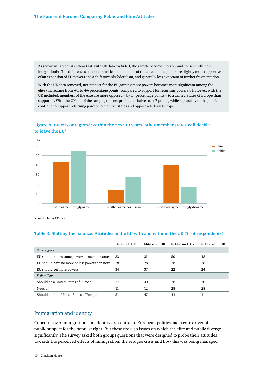As shown in Table 3, it is clear that, with UK data excluded, the sample becomes notably and consistently more integrationist. The differences are not dramatic, but members of the elite and the public are slightly more supportive of an expansion of EU powers and a shift towards federalism, and generally less expectant of further fragmentation.

With the UK data removed, net support for the EU gaining more powers becomes more significant among the elite (increasing from +1 to +6 percentage points, compared to support for returning powers). However, with the UK included, members of the elite are more opposed – by 14 percentage points – to a United States of Europe than support it. With the UK out of the sample, this net preference halves to +7 points, while a plurality of the public continue to support returning powers to member states and oppose a federal Europe.



# **Figure 8: Brexit contagion? 'Within the next 10 years, other member states will decide to leave the EU'**

Note: Excludes UK data.

### **Table 3: Shifting the balance: Attitudes to the EU with and without the UK (% of respondents)**

|                                               | Elite incl. UK | Elite excl. UK | Public incl. UK | Public excl. UK |
|-----------------------------------------------|----------------|----------------|-----------------|-----------------|
| Sovereignty                                   |                |                |                 |                 |
| EU should return some powers to member states | 33             | 31             | 50              | 48              |
| EU should have no more or less power than now | 28             | 28             | 28              | 28              |
| EU should get more powers                     | 34             | 37             | 22              | 24              |
| Federalism                                    |                |                |                 |                 |
| Should be a United States of Europe           | 37             | 40             | 28              | 30              |
| Neutral                                       | 11             | 12             | 28              | 28              |
| Should not be a United States of Europe       | 51             | 47             | 44              | 41              |

### Immigration and identity

Concerns over immigration and identity are central to European politics and a core driver of public support for the populist right. But these are also issues on which the elite and public diverge significantly. The survey asked both groups questions that were designed to probe their attitudes towards the perceived effects of immigration, the refugee crisis and how this was being managed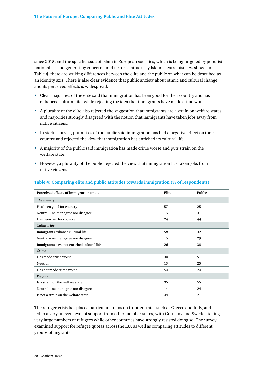since 2015, and the specific issue of Islam in European societies, which is being targeted by populist nationalists and generating concern amid terrorist attacks by Islamist extremists. As shown in Table 4, there are striking differences between the elite and the public on what can be described as an identity axis. There is also clear evidence that public anxiety about ethnic and cultural change and its perceived effects is widespread.

- **•** Clear majorities of the elite said that immigration has been good for their country and has enhanced cultural life, while rejecting the idea that immigrants have made crime worse.
- **•** A plurality of the elite also rejected the suggestion that immigrants are a strain on welfare states, and majorities strongly disagreed with the notion that immigrants have taken jobs away from native citizens.
- **•** In stark contrast, pluralities of the public said immigration has had a negative effect on their country and rejected the view that immigration has enriched its cultural life.
- **•** A majority of the public said immigration has made crime worse and puts strain on the welfare state.
- **•** However, a plurality of the public rejected the view that immigration has taken jobs from native citizens.

### **Table 4: Comparing elite and public attitudes towards immigration (% of respondents)**

| Perceived effects of immigration on        | Elite | Public |
|--------------------------------------------|-------|--------|
| The country                                |       |        |
| Has been good for country                  | 57    | 25     |
| Neutral – neither agree nor disagree       | 16    | 31     |
| Has been bad for country                   | 24    | 44     |
| Cultural life                              |       |        |
| Immigrants enhance cultural life           | 58    | 32     |
| Neutral – neither agree nor disagree       | 15    | 29     |
| Immigrants have not enriched cultural life | 26    | 38     |
| Crime                                      |       |        |
| Has made crime worse                       | 30    | 51     |
| Neutral                                    | 15    | 25     |
| Has not made crime worse                   | 54    | 24     |
| Welfare                                    |       |        |
| Is a strain on the welfare state           | 35    | 55     |
| Neutral – neither agree nor disagree       | 14    | 24     |
| Is not a strain on the welfare state       | 49    | 21     |

The refugee crisis has placed particular strains on frontier states such as Greece and Italy, and led to a very uneven level of support from other member states, with Germany and Sweden taking very large numbers of refugees while other countries have strongly resisted doing so. The survey examined support for refugee quotas across the EU, as well as comparing attitudes to different groups of migrants.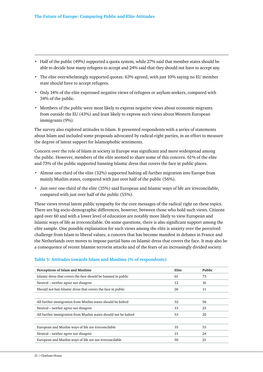- **•** Half of the public (49%) supported a quota system, while 27% said that member states should be able to decide how many refugees to accept and 24% said that they should not have to accept any.
- **•** The elite overwhelmingly supported quotas: 63% agreed, with just 10% saying no EU member state should have to accept refugees.
- **•** Only 14% of the elite expressed negative views of refugees or asylum-seekers, compared with 34% of the public.
- **•** Members of the public were most likely to express negative views about economic migrants from outside the EU (43%) and least likely to express such views about Western European immigrants (9%).

The survey also explored attitudes to Islam. It presented respondents with a series of statements about Islam and included some proposals advocated by radical-right parties, in an effort to measure the degree of latent support for Islamophobic sentiments.

Concern over the role of Islam in society in Europe was significant and more widespread among the public. However, members of the elite seemed to share some of this concern. 61% of the elite and 73% of the public supported banning Islamic dress that covers the face in public places.

- **•** Almost one-third of the elite (32%) supported halting all further migration into Europe from mainly Muslim states, compared with just over half of the public (56%).
- **•** Just over one-third of the elite (35%) said European and Islamic ways of life are irreconcilable, compared with just over half of the public (55%).

These views reveal latent public sympathy for the core messages of the radical right on these topics. There are big socio-demographic differences, however, between those who hold such views. Citizens aged over 60 and with a lower level of education are notably more likely to view European and Islamic ways of life as irreconcilable. On some questions, there is also significant support among the elite sample. One possible explanation for such views among the elite is anxiety over the perceived challenge from Islam to liberal values, a concern that has become manifest in debates in France and the Netherlands over moves to impose partial bans on Islamic dress that covers the face. It may also be a consequence of recent Islamist terrorist attacks and of the fears of an increasingly divided society.

| Perceptions of Islam and Muslims                                | Elite | Public |
|-----------------------------------------------------------------|-------|--------|
| Islamic dress that covers the face should be banned in public   | 61    | 73     |
| Neutral – neither agree nor disagree                            | 12    | 16     |
| Should not ban Islamic dress that covers the face in public     | 26    | 11     |
|                                                                 |       |        |
| All further immigration from Muslim states should be halted     | 32    | 56     |
| Neutral – neither agree nor disagree                            | 13    | 25     |
| All further immigration from Muslim states should not be halted | 53    | 20     |
|                                                                 |       |        |
| European and Muslim ways of life are irreconcilable             | 35    | 55     |
| Neutral – neither agree nor disagree                            | 15    | 24     |
| European and Muslim ways of life are not irreconcilable         | 50    | 21     |
|                                                                 |       |        |

### **Table 5: Attitudes towards Islam and Muslims (% of respondents)**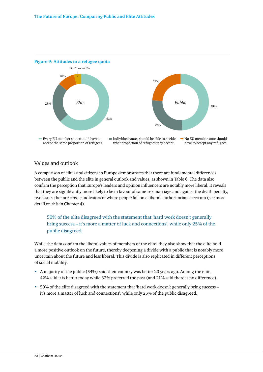

# Values and outlook

A comparison of elites and citizens in Europe demonstrates that there are fundamental differences between the public and the elite in general outlook and values, as shown in Table 6. The data also confirm the perception that Europe's leaders and opinion influencers are notably more liberal. It reveals that they are significantly more likely to be in favour of same-sex marriage and against the death penalty, two issues that are classic indicators of where people fall on a liberal–authoritarian spectrum (see more detail on this in Chapter 4).

# 50% of the elite disagreed with the statement that 'hard work doesn't generally bring success – it's more a matter of luck and connections', while only 25% of the public disagreed.

While the data confirm the liberal values of members of the elite, they also show that the elite hold a more positive outlook on the future, thereby deepening a divide with a public that is notably more uncertain about the future and less liberal. This divide is also replicated in different perceptions of social mobility.

- **•** A majority of the public (54%) said their country was better 20 years ago. Among the elite, 42% said it is better today while 32% preferred the past (and 21% said there is no difference).
- **•** 50% of the elite disagreed with the statement that 'hard work doesn't generally bring success it's more a matter of luck and connections', while only 25% of the public disagreed.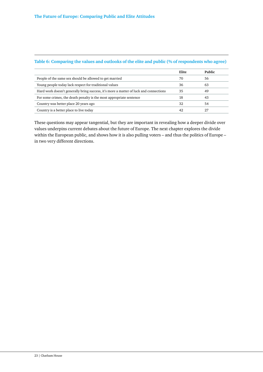|                                                                                       | Elite | Public |
|---------------------------------------------------------------------------------------|-------|--------|
| People of the same sex should be allowed to get married                               | 70    | 56     |
| Young people today lack respect for traditional values                                | 36    | 63     |
| Hard work doesn't generally bring success, it's more a matter of luck and connections | 35    | 49     |
| For some crimes, the death penalty is the most appropriate sentence                   | 18    | 43     |
| Country was better place 20 years ago                                                 | 32    | 54     |
| Country is a better place to live today                                               | 42    | 27     |

### **Table 6: Comparing the values and outlooks of the elite and public (% of respondents who agree)**

These questions may appear tangential, but they are important in revealing how a deeper divide over values underpins current debates about the future of Europe. The next chapter explores the divide within the European public, and shows how it is also pulling voters – and thus the politics of Europe – in two very different directions.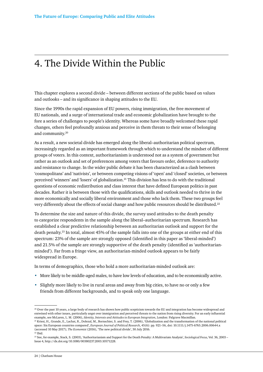# <span id="page-24-0"></span>4. The Divide Within the Public

This chapter explores a second divide – between different sections of the public based on values and outlooks – and its significance in shaping attitudes to the EU.

Since the 1990s the rapid expansion of EU powers, rising immigration, the free movement of EU nationals, and a surge of international trade and economic globalization have brought to the fore a series of challenges to people's identity. Whereas some have broadly welcomed these rapid changes, others feel profoundly anxious and perceive in them threats to their sense of belonging and community.20

As a result, a new societal divide has emerged along the liberal–authoritarian political spectrum, increasingly regarded as an important framework through which to understand the mindset of different groups of voters. In this context, authoritarianism is understood not as a system of government but rather as an outlook and set of preferences among voters that favours order, deference to authority and resistance to change. In the wider public debate it has been characterized as a clash between 'cosmopolitans' and 'nativists', or between competing visions of 'open' and 'closed' societies, or between perceived 'winners' and 'losers' of globalization.21 This division has less to do with the traditional questions of economic redistribution and class interest that have defined European politics in past decades. Rather it is between those with the qualifications, skills and outlook needed to thrive in the more economically and socially liberal environment and those who lack them. These two groups feel very differently about the effects of social change and how public resources should be distributed.<sup>22</sup>

To determine the size and nature of this divide, the survey used attitudes to the death penalty to categorize respondents in the sample along the liberal–authoritarian spectrum. Research has established a clear predictive relationship between an authoritarian outlook and support for the death penalty.23 In total, almost 45% of the sample falls into one of the groups at either end of this spectrum: 23% of the sample are strongly opposed (identified in this paper as 'liberal-minded') and 21.5% of the sample are strongly supportive of the death penalty (identified as 'authoritarianminded'). Far from a fringe view, an authoritarian-minded outlook appears to be fairly widespread in Europe.

In terms of demographics, those who hold a more authoritarian-minded outlook are:

- **•** More likely to be middle-aged males, to have low levels of education, and to be economically active.
- **•** Slightly more likely to live in rural areas and away from big cities, to have no or only a few friends from different backgrounds, and to speak only one language.

<sup>&</sup>lt;sup>20</sup> Over the past 10 years, a large body of research has shown how public scepticism towards the EU and integration has become widespread and entwined with other issues, particularly angst over immigration and perceived threats to the nation from rising diversity. For an early influential example, see McLaren, L. M. (2006), *Identity, Interests and Attitudes to European Integration*, London: Palgrave Macmillan.

<sup>21</sup> Kriesi, H., Grande, E., Lachat, R., Dolezal, M., Bornschier, S. and Frey, T. (2006), 'Globalization and the transformation of the national political space: Six European countries compared', *European Journal of Political Research*, 45(6): pp. 921–56, doi: 10.1111/j.1475-6765.2006.00644.x (accessed 10 May 2017); *The Economist* (2016), 'The new political divide', 30 July 2016.

 $22$  Ibid.

<sup>23</sup> See, for example, Stack, S. (2003), 'Authoritarianism and Support for the Death Penalty: A Multivariate Analysis', *Sociological Focus,* Vol. 36, 2003 – Issue 4, <http://dx.doi.org/10.1080/00380237.2003.10571228>.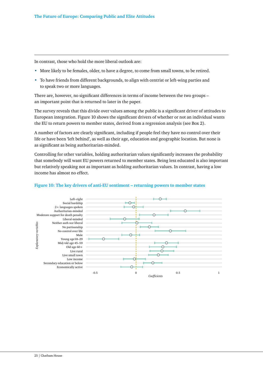In contrast, those who hold the more liberal outlook are:

- **•** More likely to be females, older, to have a degree, to come from small towns, to be retired.
- **•** To have friends from different backgrounds, to align with centrist or left-wing parties and to speak two or more languages.

There are, however, no significant differences in terms of income between the two groups – an important point that is returned to later in the paper.

The survey reveals that this divide over values among the public is a significant driver of attitudes to European integration. Figure 10 shows the significant drivers of whether or not an individual wants the EU to return powers to member states, derived from a regression analysis (see Box 2).

A number of factors are clearly significant, including if people feel they have no control over their life or have been 'left behind', as well as their age, education and geographic location. But none is as significant as being authoritarian-minded.

Controlling for other variables, holding authoritarian values significantly increases the probability that somebody will want EU powers returned to member states. Being less educated is also important but relatively speaking not as important as holding authoritarian values. In contrast, having a low income has almost no effect.



### **Figure 10: The key drivers of anti-EU sentiment – returning powers to member states**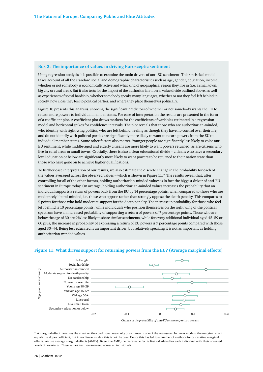#### **Box 2: The importance of values in driving Eurosceptic sentiment**

Using regression analysis it is possible to examine the main drivers of anti-EU sentiment. This statistical model takes account of all the standard social and demographic characteristics such as age, gender, education, income, whether or not somebody is economically active and what kind of geographical region they live in (i.e. a small town, big city or rural area). But it also tests for the impact of the authoritarian–liberal value divide outlined above, as well as experiences of social hardship, whether somebody speaks many languages, whether or not they feel left behind in society, how close they feel to political parties, and where they place themselves politically.

Figure 10 presents this analysis, showing the significant predictors of whether or not somebody wants the EU to return more powers to individual member states. For ease of interpretation the results are presented in the form of a coefficient plot. A coefficient plot draws markers for the coefficients of variables estimated in a regression model and horizontal spikes for confidence intervals. The plot reveals that those who are authoritarian-minded, who identify with right-wing politics, who are left behind, feeling as though they have no control over their life, and do not identify with political parties are significantly more likely to want to return powers from the EU to individual member states. Some other factors also matter. Younger people are significantly less likely to voice anti-EU sentiment, while middle-aged and elderly citizens are more likely to want powers returned, as are citizens who live in rural areas or small towns. Crucially, there is also a clear educational divide – citizens who have a secondarylevel education or below are significantly more likely to want powers to be returned to their nation state than those who have gone on to achieve higher qualifications.

To further ease interpretation of our results, we also estimate the discrete change in the probability for each of the values averaged across the observed values – which is shown in Figure 11.<sup>24</sup> The results reveal that, after controlling for all of the other factors, holding authoritarian-minded values is in fact the biggest driver of anti-EU sentiment in Europe today. On average, holding authoritarian-minded values increases the probability that an individual supports a return of powers back from the EU by 14 percentage points, when compared to those who are moderately liberal-minded, i.e. those who oppose rather than strongly oppose the death penalty. This compares to 5 points for those who hold moderate support for the death penalty. The increase in probability for those who feel left behind is 10 percentage points, while individuals who position themselves on the right wing of the political spectrum have an increased probability of supporting a return of powers of 7 percentage points. Those who are below the age of 30 are 9% less likely to share similar sentiments, while for every additional individual aged 45–59 or 60 plus, the increase in probability of expressing a return of EU powers is 7 percentage points compared with those aged 30–44. Being less educated is an important driver, but relatively speaking it is not as important as holding authoritarian-minded values.



### **Figure 11: What drives support for returning powers from the EU? (Average marginal effects)**

*Change in the probability of anti-EU sentiment/return powers*

<sup>&</sup>lt;sup>24</sup> A marginal effect measures the effect on the conditional mean of y of a change in one of the regressors. In linear models, the marginal effect equals the slope coefficient, but in nonlinear models this is not the case. Hence this has led to a number of methods for calculating marginal effects. We use average marginal effects (AMEs). To get the AME, the marginal effect is first calculated for each individual with their observed levels of covariates. These values are then averaged across all individuals.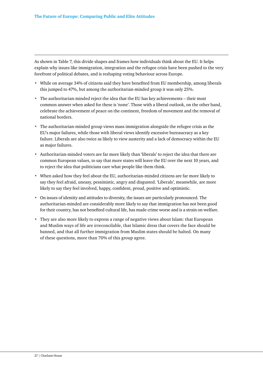As shown in Table 7, this divide shapes and frames how individuals think about the EU. It helps explain why issues like immigration, integration and the refugee crisis have been pushed to the very forefront of political debates, and is reshaping voting behaviour across Europe.

- **•** While on average 34% of citizens said they have benefited from EU membership, among liberals this jumped to 47%, but among the authoritarian-minded group it was only 25%.
- **•** The authoritarian-minded reject the idea that the EU has key achievements their most common answer when asked for these is 'none'. Those with a liberal outlook, on the other hand, celebrate the achievement of peace on the continent, freedom of movement and the removal of national borders.
- **•** The authoritarian-minded group views mass immigration alongside the refugee crisis as the EU's major failures, while those with liberal views identify excessive bureaucracy as a key failure. Liberals are also twice as likely to view austerity and a lack of democracy within the EU as major failures.
- **•** Authoritarian-minded voters are far more likely than 'liberals' to reject the idea that there are common European values, to say that more states will leave the EU over the next 10 years, and to reject the idea that politicians care what people like them think.
- **•** When asked how they feel about the EU, authoritarian-minded citizens are far more likely to say they feel afraid, uneasy, pessimistic, angry and disgusted. 'Liberals', meanwhile, are more likely to say they feel involved, happy, confident, proud, positive and optimistic.
- **•** On issues of identity and attitudes to diversity, the issues are particularly pronounced. The authoritarian-minded are considerably more likely to say that immigration has not been good for their country, has not benefited cultural life, has made crime worse and is a strain on welfare.
- **•** They are also more likely to express a range of negative views about Islam: that European and Muslim ways of life are irreconcilable, that Islamic dress that covers the face should be banned, and that all further immigration from Muslim states should be halted. On many of these questions, more than 70% of this group agree.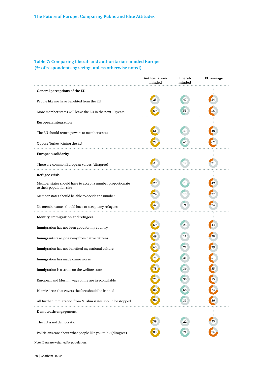# **Table 7: Comparing liberal- and authoritarian-minded Europe (% of respondents agreeing, unless otherwise noted)**

|                                                                                        | Authoritarian-<br>minded | Liberal-<br>minded | EU average |
|----------------------------------------------------------------------------------------|--------------------------|--------------------|------------|
| General perceptions of the EU                                                          |                          |                    |            |
| People like me have benefited from the EU                                              | 25                       | 47                 | 34         |
| More member states will leave the EU in the next 10 years                              | 69                       | 51                 | 55         |
| <b>European integration</b>                                                            |                          |                    |            |
| The EU should return powers to member states                                           | 61                       | 39                 | 48         |
| Oppose Turkey joining the EU                                                           |                          | 62                 | 62         |
| European solidarity                                                                    |                          |                    |            |
| There are common European values (disagree)                                            | 31                       | 19                 | 21         |
| Refugee crisis                                                                         |                          |                    |            |
| Member states should have to accept a number proportionate<br>to their population size | 29                       | 73                 | 49         |
| Member states should be able to decide the number                                      | 24                       | 18                 | 27         |
| No member states should have to accept any refugees                                    | 47                       | 9                  | 24         |
| Identity, immigration and refugees                                                     |                          |                    |            |
| Immigration has not been good for my country                                           | 69                       | 25                 | 44         |
| Immigrants take jobs away from native citizens                                         | 49                       | 11                 | 28         |
| Immigration has not benefited my national culture                                      | 63                       | 21                 | 39         |
| Immigration has made crime worse                                                       | 74                       | 31                 | 51         |
| Immigration is a strain on the welfare state                                           | 78                       | 36                 | 55         |
| European and Muslim ways of life are irreconcilable                                    | 75                       | 38                 | 55         |
| Islamic dress that covers the face should be banned                                    | 86                       | 68                 | 73         |
| All further immigration from Muslim states should be stopped                           | 84                       | 33                 | 56         |
| Democratic engagement                                                                  |                          |                    |            |
| The EU is not democratic                                                               | 39                       | 22                 | 25         |
| Politicians care about what people like you think (disagree)                           | 83                       | 74                 | 74         |

Note: Data are weighted by population.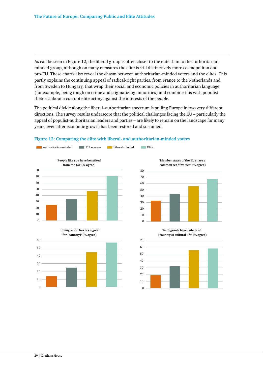As can be seen in Figure 12, the liberal group is often closer to the elite than to the authoritarianminded group, although on many measures the elite is still distinctively more cosmopolitan and pro-EU. These charts also reveal the chasm between authoritarian-minded voters and the elites. This partly explains the continuing appeal of radical-right parties, from France to the Netherlands and from Sweden to Hungary, that wrap their social and economic policies in authoritarian language (for example, being tough on crime and stigmatizing minorities) and combine this with populist rhetoric about a corrupt elite acting against the interests of the people.

The political divide along the liberal–authoritarian spectrum is pulling Europe in two very different directions. The survey results underscore that the political challenges facing the EU – particularly the appeal of populist-authoritarian leaders and parties – are likely to remain on the landscape for many years, even after economic growth has been restored and sustained.

### **Figure 12: Comparing the elite with liberal- and authoritarian-minded voters**



**'Member states of the EU share a common set of values' (% agree)** 







**'Immigrants have enhanced [country's] cultural life' (% agree)**

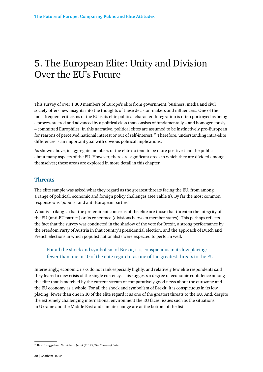# <span id="page-30-0"></span>5. The European Elite: Unity and Division Over the EU's Future

This survey of over 1,800 members of Europe's elite from government, business, media and civil society offers new insights into the thoughts of these decision-makers and influencers. One of the most frequent criticisms of the EU is its elite political character. Integration is often portrayed as being a process steered and advanced by a political class that consists of fundamentally – and homogeneously – committed Europhiles. In this narrative, political elites are assumed to be instinctively pro-European for reasons of perceived national interest or out of self-interest.<sup>25</sup> Therefore, understanding intra-elite differences is an important goal with obvious political implications.

As shown above, in aggregate members of the elite do tend to be more positive than the public about many aspects of the EU. However, there are significant areas in which they are divided among themselves; these areas are explored in more detail in this chapter.

# **Threats**

The elite sample was asked what they regard as the greatest threats facing the EU, from among a range of political, economic and foreign policy challenges (see Table 8). By far the most common response was 'populist and anti-European parties'.

What is striking is that the pre-eminent concerns of the elite are those that threaten the integrity of the EU (anti-EU parties) or its coherence (divisions between member states). This perhaps reflects the fact that the survey was conducted in the shadow of the vote for Brexit, a strong performance by the Freedom Party of Austria in that country's presidential election, and the approach of Dutch and French elections in which populist nationalists were expected to perform well.

# For all the shock and symbolism of Brexit, it is conspicuous in its low placing: fewer than one in 10 of the elite regard it as one of the greatest threats to the EU.

Interestingly, economic risks do not rank especially highly, and relatively few elite respondents said they feared a new crisis of the single currency. This suggests a degree of economic confidence among the elite that is matched by the current stream of comparatively good news about the eurozone and the EU economy as a whole. For all the shock and symbolism of Brexit, it is conspicuous in its low placing: fewer than one in 10 of the elite regard it as one of the greatest threats to the EU. And, despite the extremely challenging international environment the EU faces, issues such as the situations in Ukraine and the Middle East and climate change are at the bottom of the list.

30 | Chatham House

<sup>25</sup> Best, Lengyel and Verzichelli (eds) (2012), *The Europe of Elites.*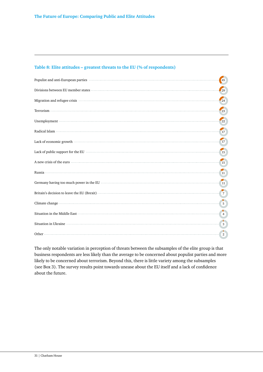### **Table 8: Elite attitudes – greatest threats to the EU (% of respondents)**

|                                                                                                                      | 45                      |
|----------------------------------------------------------------------------------------------------------------------|-------------------------|
|                                                                                                                      | 29                      |
| $\frac{1}{24}$                                                                                                       |                         |
|                                                                                                                      | $\overline{23}$         |
| $\frac{1}{22}$                                                                                                       |                         |
| $\overline{17}$                                                                                                      |                         |
| $\frac{1}{17}$                                                                                                       |                         |
| $\frac{1}{15}$                                                                                                       |                         |
| $\frac{1}{15}$                                                                                                       |                         |
| $\cdot \cdot$ (11)                                                                                                   |                         |
|                                                                                                                      |                         |
| $\frac{1}{2}$                                                                                                        |                         |
| $\frac{1}{5}$                                                                                                        |                         |
| Situation in the Middle East <b>Existen Constructs</b> (Stephan Constructs (Stephan Constructs) (Stephan Constructs) | $\overline{4}$          |
|                                                                                                                      | $\overline{\mathbf{3}}$ |
|                                                                                                                      | $\overline{2}$          |

The only notable variation in perception of threats between the subsamples of the elite group is that business respondents are less likely than the average to be concerned about populist parties and more likely to be concerned about terrorism. Beyond this, there is little variety among the subsamples (see Box 3). The survey results point towards unease about the EU itself and a lack of confidence about the future.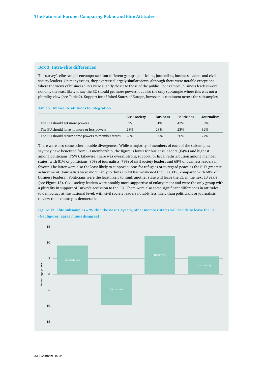### **Box 3: Intra-elite differences**

The survey's elite sample encompassed four different groups: politicians, journalists, business leaders and civil society leaders. On many issues, they expressed largely similar views, although there were notable exceptions where the views of business elites were slightly closer to those of the public. For example, business leaders were not only the least likely to say the EU should get more powers, but also the only subsample where this was not a plurality view (see Table 9). Support for a United States of Europe, however, is consistent across the subsamples.

#### **Table 9: Intra-elite attitudes to integration**

|                                                   | Civil society | <b>Business</b> | <b>Politicians</b> | Journalists |
|---------------------------------------------------|---------------|-----------------|--------------------|-------------|
| The EU should get more powers                     | 37%           | $31\%$          | 43%                | 36%         |
| The EU should have no more or less powers         | 28%           | 28%             | 23%                | 32%         |
| The EU should return some powers to member states | 28%           | 36%             | 30%                | 27%         |

There were also some other notable divergences. While a majority of members of each of the subsamples say they have benefited from EU membership, the figure is lower for business leaders (64%) and highest among politicians (75%). Likewise, there was overall strong support for fiscal redistribution among member states, with 81% of politicians, 80% of journalists, 79% of civil society leaders and 68% of business leaders in favour. The latter were also the least likely to support quotas for refugees or to regard peace as the EU's greatest achievement. Journalists were more likely to think Brexit has weakened the EU (80%, compared with 68% of business leaders). Politicians were the least likely to think another state will leave the EU in the next 10 years (see Figure 13). Civil society leaders were notably more supportive of enlargement and were the only group with a plurality in support of Turkey's accession to the EU. There were also some significant differences in attitudes to democracy at the national level, with civil society leaders notably less likely than politicians or journalists to view their country as democratic.



### **Figure 13: Elite subsamples – 'Within the next 10 years, other member states will decide to leave the EU' (Net figures: agree minus disagree)**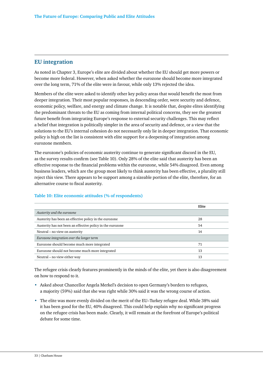# **EU integration**

As noted in Chapter 3, Europe's elite are divided about whether the EU should get more powers or become more federal. However, when asked whether the eurozone should become more integrated over the long term, 71% of the elite were in favour, while only 13% rejected the idea.

Members of the elite were asked to identify other key policy areas that would benefit the most from deeper integration. Their most popular responses, in descending order, were security and defence, economic policy, welfare, and energy and climate change. It is notable that, despite elites identifying the predominant threats to the EU as coming from internal political concerns, they see the greatest future benefit from integrating Europe's response to external security challenges. This may reflect a belief that integration is politically simpler in the area of security and defence, or a view that the solutions to the EU's internal cohesion do not necessarily only lie in deeper integration. That economic policy is high on the list is consistent with elite support for a deepening of integration among eurozone members.

The eurozone's policies of economic austerity continue to generate significant discord in the EU, as the survey results confirm (see Table 10). Only 28% of the elite said that austerity has been an effective response to the financial problems within the eurozone, while 54% disagreed. Even among business leaders, which are the group most likely to think austerity has been effective, a plurality still reject this view. There appears to be support among a sizeable portion of the elite, therefore, for an alternative course to fiscal austerity.

|                                                            | Elite |
|------------------------------------------------------------|-------|
| Austerity and the eurozone                                 |       |
| Austerity has been an effective policy in the eurozone     | 28    |
| Austerity has not been an effective policy in the eurozone | 54    |
| Neutral – no view on austerity                             | 14    |
| Eurozone integration over the longer term                  |       |
| Eurozone should become much more integrated                | 71    |
| Eurozone should not become much more integrated            | 13    |
| Neutral – no view either way                               | 13    |

### **Table 10: Elite economic attitudes (% of respondents)**

The refugee crisis clearly features prominently in the minds of the elite, yet there is also disagreement on how to respond to it.

- **•** Asked about Chancellor Angela Merkel's decision to open Germany's borders to refugees, a majority (59%) said that she was right while 30% said it was the wrong course of action.
- **•** The elite was more evenly divided on the merit of the EU–Turkey refugee deal. While 38% said it has been good for the EU, 40% disagreed. This could help explain why no significant progress on the refugee crisis has been made. Clearly, it will remain at the forefront of Europe's political debate for some time.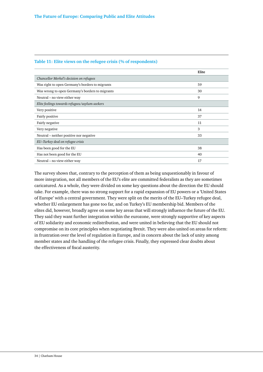|                                                 | Elite |
|-------------------------------------------------|-------|
| Chancellor Merkel's decision on refugees        |       |
| Was right to open Germany's borders to migrants | 59    |
| Was wrong to open Germany's borders to migrants | 30    |
| Neutral – no view either way                    | 9     |
| Elite feelings towards refugees/asylum-seekers  |       |
| Very positive                                   | 14    |
| Fairly positive                                 | 37    |
| Fairly negative                                 | 11    |
| Very negative                                   | 3     |
| Neutral – neither positive nor negative         | 33    |
| EU-Turkey deal on refugee crisis                |       |
| Has been good for the EU                        | 38    |
| Has not been good for the EU                    | 40    |
| Neutral – no view either way                    | 17    |
|                                                 |       |

### **Table 11: Elite views on the refugee crisis (% of respondents)**

The survey shows that, contrary to the perception of them as being unquestionably in favour of more integration, not all members of the EU's elite are committed federalists as they are sometimes caricatured. As a whole, they were divided on some key questions about the direction the EU should take. For example, there was no strong support for a rapid expansion of EU powers or a 'United States of Europe' with a central government. They were split on the merits of the EU–Turkey refugee deal, whether EU enlargement has gone too far, and on Turkey's EU membership bid. Members of the elites did, however, broadly agree on some key areas that will strongly influence the future of the EU. They said they want further integration within the eurozone, were strongly supportive of key aspects of EU solidarity and economic redistribution, and were united in believing that the EU should not compromise on its core principles when negotiating Brexit. They were also united on areas for reform: in frustration over the level of regulation in Europe, and in concern about the lack of unity among member states and the handling of the refugee crisis. Finally, they expressed clear doubts about the effectiveness of fiscal austerity.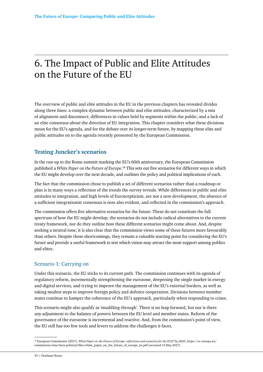# <span id="page-35-0"></span>6. The Impact of Public and Elite Attitudes on the Future of the EU

The overview of public and elite attitudes in the EU in the previous chapters has revealed divides along three lines: a complex dynamic between public and elite attitudes, characterized by a mix of alignment and disconnect; differences in values held by segments within the public; and a lack of an elite consensus about the direction of EU integration. This chapter considers what these divisions mean for the EU's agenda, and for the debate over its longer-term future, by mapping these elite and public attitudes on to the agenda recently presented by the European Commission.

# **Testing Juncker's scenarios**

In the run-up to the Rome summit marking the EU's 60th anniversary, the European Commission published a *White Paper on the Future of Europe*. 26 This sets out five scenarios for different ways in which the EU might develop over the next decade, and outlines the policy and political implications of each.

The fact that the commission chose to publish a set of different scenarios rather than a roadmap or plan is in many ways a reflection of the trends the survey reveals. While differences in public and elite attitudes to integration, and high levels of Euroscepticism, are not a new development, the absence of a sufficient integrationist consensus is now also evident, and reflected in the commission's approach.

The commission offers five alternative scenarios for the future. These do not constitute the full spectrum of how the EU might develop; the scenarios do not include radical alternatives to the current treaty framework, nor do they outline how these different scenarios might come about. And, despite seeking a neutral tone, it is also clear that the commission views some of these futures more favourably than others. Despite these shortcomings, they remain a valuable starting point for considering the EU's future and provide a useful framework to test which vision may attract the most support among publics and elites.

### Scenario 1: Carrying on

Under this scenario, the EU sticks to its current path. The commission continues with its agenda of regulatory reform, incrementally strengthening the eurozone, deepening the single market in energy and digital services, and trying to improve the management of the EU's external borders, as well as taking modest steps to improve foreign policy and defence cooperation. Divisions between member states continue to hamper the coherence of the EU's approach, particularly when responding to crises.

This scenario might also qualify as 'muddling through'. There is no leap forward, but nor is there any adjustment to the balance of powers between the EU level and member states. Reform of the governance of the eurozone is incremental and reactive. And, from the commission's point of view, the EU still has too few tools and levers to address the challenges it faces.

<sup>26</sup> European Commission (2017), *White Paper on the Future of Europe: reflections and scenarios for the EU27 by 2025*, [https://ec.europa.eu/](https://ec.europa.eu/commission/sites/beta-political/files/white_paper_on_the_future_of_europe_en.pdf) [commission/sites/beta-political/files/white\\_paper\\_on\\_the\\_future\\_of\\_europe\\_en.pdf](https://ec.europa.eu/commission/sites/beta-political/files/white_paper_on_the_future_of_europe_en.pdf) (accessed 13 May 2017).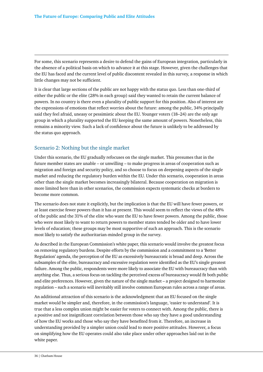For some, this scenario represents a desire to defend the gains of European integration, particularly in the absence of a political basis on which to advance it at this stage. However, given the challenges that the EU has faced and the current level of public discontent revealed in this survey, a response in which little changes may not be sufficient.

It is clear that large sections of the public are not happy with the status quo. Less than one-third of either the public or the elite (28% in each group) said they wanted to retain the current balance of powers. In no country is there even a plurality of public support for this position. Also of interest are the expressions of emotions that reflect worries about the future: among the public, 34% principally said they feel afraid, uneasy or pessimistic about the EU. Younger voters (18–24) are the only age group in which a plurality supported the EU keeping the same amount of powers. Nonetheless, this remains a minority view. Such a lack of confidence about the future is unlikely to be addressed by the status quo approach.

### Scenario 2: Nothing but the single market

Under this scenario, the EU gradually refocuses on the single market. This presumes that in the future member states are unable – or unwilling – to make progress in areas of cooperation such as migration and foreign and security policy, and so choose to focus on deepening aspects of the single market and reducing the regulatory burden within the EU. Under this scenario, cooperation in areas other than the single market becomes increasingly bilateral. Because cooperation on migration is more limited here than in other scenarios, the commission expects systematic checks at borders to become more common.

The scenario does not state it explicitly, but the implication is that the EU will have fewer powers, or at least exercise fewer powers than it has at present. This would seem to reflect the views of the 48% of the public and the 31% of the elite who want the EU to have fewer powers. Among the public, those who were most likely to want to return powers to member states tended be older and to have lower levels of education; these groups may be most supportive of such an approach. This is the scenario most likely to satisfy the authoritarian-minded group in the survey.

As described in the European Commission's white paper, this scenario would involve the greatest focus on removing regulatory burdens. Despite efforts by the commission and a commitment to a 'Better Regulation' agenda, the perception of the EU as excessively bureaucratic is broad and deep. Across the subsamples of the elite, bureaucracy and excessive regulation were identified as the EU's single greatest failure. Among the public, respondents were more likely to associate the EU with bureaucracy than with anything else. Thus, a serious focus on tackling the perceived excess of bureaucracy would fit both public and elite preferences. However, given the nature of the single market – a project designed to harmonize regulation – such a scenario will inevitably still involve common European rules across a range of areas.

An additional attraction of this scenario is the acknowledgment that an EU focused on the single market would be simpler and, therefore, in the commission's language, 'easier to understand'. It is true that a less complex union might be easier for voters to connect with. Among the public, there is a positive and not insignificant correlation between those who say they have a good understanding of how the EU works and those who say they have benefited from it. Therefore, an increase in understanding provided by a simpler union could lead to more positive attitudes. However, a focus on simplifying how the EU operates could also take place under other approaches laid out in the white paper.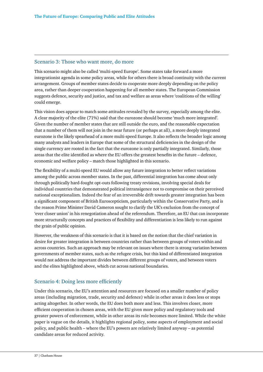### Scenario 3: Those who want more, do more

This scenario might also be called 'multi-speed Europe'. Some states take forward a more integrationist agenda in some policy areas, while for others there is broad continuity with the current arrangement. Groups of member states decide to cooperate more deeply depending on the policy area, rather than deeper cooperation happening for all member states. The European Commission suggests defence, security and justice, and tax and welfare as areas where 'coalitions of the willing' could emerge.

This vision does appear to match some attitudes revealed by the survey, especially among the elite. A clear majority of the elite (71%) said that the eurozone should become 'much more integrated'. Given the number of member states that are still outside the euro, and the reasonable expectation that a number of them will not join in the near future (or perhaps at all), a more deeply integrated eurozone is the likely spearhead of a more multi-speed Europe. It also reflects the broader logic among many analysts and leaders in Europe that some of the structural deficiencies in the design of the single currency are rooted in the fact that the eurozone is only partially integrated. Similarly, those areas that the elite identified as where the EU offers the greatest benefits in the future – defence, economic and welfare policy – match those highlighted in this scenario.

The flexibility of a multi-speed EU would allow any future integration to better reflect variations among the public across member states. In the past, differential integration has come about only through politically hard-fought opt-outs following treaty revisions, involving special deals for individual countries that demonstrated political intransigence not to compromise on their perceived national exceptionalism. Indeed the fear of an irreversible drift towards greater integration has been a significant component of British Euroscepticism, particularly within the Conservative Party, and is the reason Prime Minister David Cameron sought to clarify the UK's exclusion from the concept of 'ever closer union' in his renegotiation ahead of the referendum. Therefore, an EU that can incorporate more structurally concepts and practices of flexibility and differentiation is less likely to run against the grain of public opinion.

However, the weakness of this scenario is that it is based on the notion that the chief variation in desire for greater integration is between countries rather than between groups of voters within and across countries. Such an approach may be relevant on issues where there is strong variation between governments of member states, such as the refugee crisis, but this kind of differentiated integration would not address the important divides between different groups of voters, and between voters and the elites highlighted above, which cut across national boundaries.

### Scenario 4: Doing less more efficiently

Under this scenario, the EU's attention and resources are focused on a smaller number of policy areas (including migration, trade, security and defence) while in other areas it does less or stops acting altogether. In other words, the EU does both more and less. This involves closer, more efficient cooperation in chosen areas, with the EU given more policy and regulatory tools and greater powers of enforcement, while in other areas its role becomes more limited. While the white paper is vague on the details, it highlights regional policy, some aspects of employment and social policy, and public health – where the EU's powers are relatively limited anyway – as potential candidate areas for reduced activity.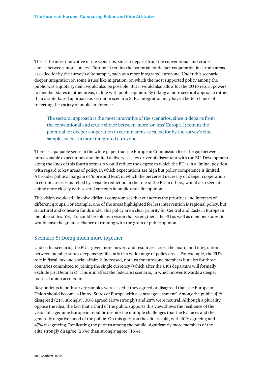This is the most innovative of the scenarios, since it departs from the conventional and crude choice between 'more' or 'less' Europe. It retains the potential for deeper cooperation in certain areas as called for by the survey's elite sample, such as a more integrated eurozone. Under this scenario, deeper integration on some issues like migration, on which the most supported policy among the public was a quota system, would also be possible. But it would also allow for the EU to return powers to member states in other areas, in line with public opinion. By taking a more sectoral approach rather than a state-based approach as set out in scenario 3, EU integration may have a better chance of reflecting the variety of public preferences.

The sectoral approach is the most innovative of the scenarios, since it departs from the conventional and crude choice between 'more' or 'less' Europe. It retains the potential for deeper cooperation in certain areas as called for by the survey's elite sample, such as a more integrated eurozone.

There is a palpable sense in the white paper that the European Commission feels the gap between unreasonable expectations and limited delivery is a key driver of discontent with the EU. Development along the lines of this fourth scenario would reduce the degree to which the EU is in a liminal position with regard to key areas of policy, in which expectations are high but policy competence is limited. A broader political bargain of 'more and less', in which the perceived necessity of deeper cooperation in certain areas is matched by a visible reduction in the role of the EU in others, would also seem to chime more closely with several currents in public and elite opinion.

This vision would still involve difficult compromises that cut across the priorities and interests of different groups. For example, one of the areas highlighted for less intervention is regional policy, but structural and cohesion funds under this policy are a clear priority for Central and Eastern European member states. Yet, if it could be sold as a vision that strengthens the EU as well as member states, it would have the greatest chance of running with the grain of public opinion.

### Scenario 5: Doing much more together

Under this scenario, the EU is given more powers and resources across the board, and integration between member states deepens significantly in a wide range of policy areas. For example, the EU's role in fiscal, tax and social affairs is increased, not just for eurozone members but also for those countries committed to joining the single currency (which after the UK's departure will formally exclude just Denmark). This is in effect the federalist scenario, in which moves towards a deeper political union accelerate.

Respondents in both survey samples were asked if they agreed or disagreed that 'the European Union should become a United States of Europe with a central government'. Among the public, 41% disagreed (21% strongly), 30% agreed (10% strongly) and 28% were neutral. Although a plurality oppose the idea, the fact that a third of the public supports this view shows the resilience of the vision of a genuine European republic despite the multiple challenges that the EU faces and the generally negative mood of the public. On this question the elite is split, with 40% agreeing and 47% disagreeing. Replicating the pattern among the public, significantly more members of the elite strongly disagree (25%) than strongly agree (16%).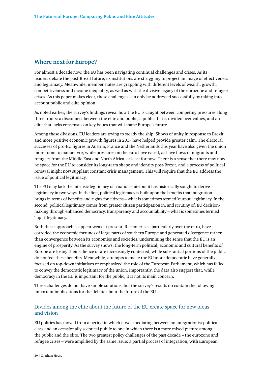# **Where next for Europe?**

For almost a decade now, the EU has been navigating continual challenges and crises. As its leaders debate the post-Brexit future, its institutions are struggling to project an image of effectiveness and legitimacy. Meanwhile, member states are grappling with different levels of wealth, growth, competitiveness and income inequality, as well as with the divisive legacy of the eurozone and refugee crises. As this paper makes clear, these challenges can only be addressed successfully by taking into account public and elite opinion.

As noted earlier, the survey's findings reveal how the EU is caught between competing pressures along three fronts: a disconnect between the elite and public, a public that is divided over values, and an elite that lacks consensus on key issues that will shape Europe's future.

Among these divisions, EU leaders are trying to steady the ship. Shows of unity in response to Brexit and more positive economic growth figures in 2017 have helped provide greater calm. The electoral successes of pro-EU figures in Austria, France and the Netherlands this year have also given the union more room to manoeuvre, while pressures on the euro have eased, as have flows of migrants and refugees from the Middle East and North Africa, at least for now. There is a sense that there may now be space for the EU to consider its long-term shape and identity post-Brexit, and a process of political renewal might now supplant constant crisis management. This will require that the EU address the issue of political legitimacy.

The EU may lack the intrinsic legitimacy of a nation state but it has historically sought to derive legitimacy in two ways. In the first, political legitimacy is built upon the benefits that integration brings in terms of benefits and rights for citizens – what is sometimes termed 'output' legitimacy. In the second, political legitimacy comes from greater citizen participation in, and scrutiny of, EU decisionmaking through enhanced democracy, transparency and accountability – what is sometimes termed 'input' legitimacy.

Both these approaches appear weak at present. Recent crises, particularly over the euro, have corroded the economic fortunes of large parts of southern Europe and generated divergence rather than convergence between its economies and societies, undermining the sense that the EU is an engine of prosperity. As the survey shows, the long-term political, economic and cultural benefits of Europe are losing their salience or are increasingly contested, while substantial portions of the public do not feel these benefits. Meanwhile, attempts to make the EU more democratic have generally focused on top-down initiatives or emphasized the role of the European Parliament, which has failed to convey the democratic legitimacy of the union. Importantly, the data also suggest that, while democracy in the EU is important for the public, it is not its main concern.

These challenges do not have simple solutions, but the survey's results do contain the following important implications for the debate about the future of the EU.

# Divides among the elite about the future of the EU create space for new ideas and vision

EU politics has moved from a period in which it was mediating between an integrationist political class and an occasionally sceptical public to one in which there is a more mixed picture among the public and the elite. The two greatest policy challenges of the past decade – the eurozone and refugee crises – were amplified by the same issue: a partial process of integration, with European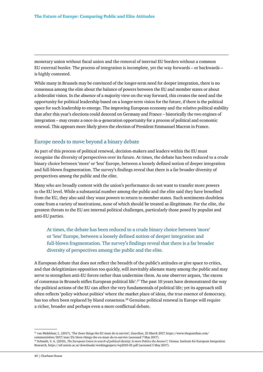monetary union without fiscal union and the removal of internal EU borders without a common EU external border. The process of integration is incomplete, yet the way forwards – or backwards – is highly contested.

While many in Brussels may be convinced of the longer-term need for deeper integration, there is no consensus among the elite about the balance of powers between the EU and member states or about a federalist vision. In the absence of a majority view on the way forward, this creates the need and the opportunity for political leadership based on a longer-term vision for the future, if there is the political space for such leadership to emerge. The improving European economy and the relative political stability that after this year's elections could descend on Germany and France – historically the two engines of integration – may create a once-in-a-generation opportunity for a process of political and economic renewal. This appears more likely given the election of President Emmanuel Macron in France.

# Europe needs to move beyond a binary debate

As part of this process of political renewal, decision-makers and leaders within the EU must recognize the diversity of perspectives over its future. At times, the debate has been reduced to a crude binary choice between 'more' or 'less' Europe, between a loosely defined notion of deeper integration and full-blown fragmentation. The survey's findings reveal that there is a far broader diversity of perspectives among the public and the elite.

Many who are broadly content with the union's performance do not want to transfer more powers to the EU level. While a substantial number among the public and the elite said they have benefited from the EU, they also said they want powers to return to member states. Such sentiments doubtless come from a variety of motivations, none of which should be treated as illegitimate. For the elite, the greatest threats to the EU are internal political challenges, particularly those posed by populist and anti-EU parties.

At times, the debate has been reduced to a crude binary choice between 'more' or 'less' Europe, between a loosely defined notion of deeper integration and full-blown fragmentation. The survey's findings reveal that there is a far broader diversity of perspectives among the public and the elite.

A European debate that does not reflect the breadth of the public's attitudes or give space to critics, and that delegitimizes opposition too quickly, will inevitably alienate many among the public and may serve to strengthen anti-EU forces rather than undermine them. As one observer argues, 'the excess of consensus in Brussels stifles European political life'.27 The past 10 years have demonstrated the way the political actions of the EU can affect the very fundamentals of political life; yet its approach still often reflects 'policy without politics' where the market place of ideas, the true essence of democracy, has too often been replaced by bland consensus.28 Genuine political renewal in Europe will require a richer, broader and perhaps even a more conflictual debate.

<sup>27</sup> van Middelaar, L. (2017), 'The three things the EU must do to survive', *Guardian*, 25 March 2017, [https://www.theguardian.com/](https://www.theguardian.com/commentisfree/2017/mar/25/three-things-the-eu-must-do-to-survive) [commentisfree/2017/mar/25/three-things-the-eu-must-do-to-survive](https://www.theguardian.com/commentisfree/2017/mar/25/three-things-the-eu-must-do-to-survive) (accessed 7 May 2017).

<sup>28</sup> Schmidt, V. A. (2010), *The European Union in search of political identity: Is more Politics the Answer?*, Vienna: Institute for European Integration Research, <https://eif.univie.ac.at/downloads/workingpapers/wp2010-05.pdf> (accessed 5 May 2017).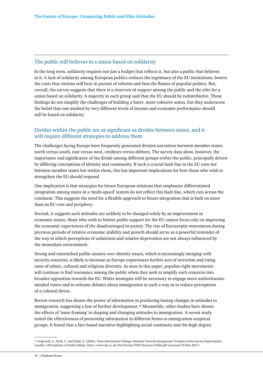### The public still believes in a union based on solidarity

In the long term, solidarity requires not just a budget that reflects it, but also a public that believes in it. A lack of solidarity among European publics reduces the legitimacy of the EU institutions, lowers the costs that citizens will bear in pursuit of reforms and fans the flames of populist politics. But, overall, the survey suggests that there is a reservoir of support among the public and the elite for a union based on solidarity. A majority in each group said that the EU should be redistributive. These findings do not simplify the challenges of building a fairer, more cohesive union, but they underscore the belief that one marked by very different levels of income and economic performance should still be based on solidarity.

### Divides within the public are as significant as divides between states, and it will require different strategies to address them

The challenges facing Europe have frequently generated divisive narratives between member states: north versus south, east versus west, creditors versus debtors. The survey data show, however, the importance and significance of the divide among different groups *within* the public, principally driven by differing conceptions of identity and community. If such a crucial fault line in the EU runs not between member states but within them, this has important implications for how those who wish to strengthen the EU should respond.

One implication is that strategies for future European relations that emphasize differentiated integration among states in a 'multi-speed' system do not reflect this fault line, which cuts across the continent. This suggests the need for a flexible approach to future integration that is built on more than an EU core and periphery.

Second, it suggests such attitudes are unlikely to be changed solely by an improvement in economic status; those who wish to bolster public support for the EU cannot focus only on improving the economic experiences of the disadvantaged in society. The rise of Eurosceptic movements during previous periods of relative economic stability and growth should serve as a powerful reminder of the way in which perceptions of unfairness and relative deprivation are not always influenced by the immediate environment.

Strong and entrenched public anxiety over identity issues, which is increasingly merging with security concerns, is likely to increase as Europe experiences further acts of terrorism and rising rates of ethnic, cultural and religious diversity. As seen in this paper, populist-right movements will continue to find resonance among the public when they seek to amplify such concerns into broader opposition towards the EU. Wider strategies will be necessary to engage more authoritarianminded voters and to reframe debates about immigration in such a way as to reduce perceptions of a cultural threat.

Recent research has shown the power of information in producing lasting changes in attitudes to immigration, suggesting a line of further development.<sup>29</sup> Meanwhile, other studies have shown the effects of 'issue-framing' in shaping and changing attitudes to immigration. A recent study tested the effectiveness of presenting information in different forms to immigration-sceptical groups. It found that a fact-based narrative highlighting social continuity and the high degree

41 | Chatham House

<sup>29</sup> Grigorieff, A., Roth, C. and Ubfal, D. (2016), 'Does Information Change Attitudes Towards Immigrants? Evidence from Survey Experiments', London: LSE Institute of Global Affairs, <http://www.lse.ac.uk/IGA/Events/PDF/Siracusa/Ubfal.pdf>(accessed 10 May 2017).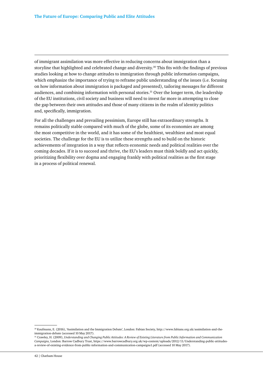of immigrant assimilation was more effective in reducing concerns about immigration than a storyline that highlighted and celebrated change and diversity.30 This fits with the findings of previous studies looking at how to change attitudes to immigration through public information campaigns, which emphasize the importance of trying to reframe public understanding of the issues (i.e. focusing on how information about immigration is packaged and presented), tailoring messages for different audiences, and combining information with personal stories.<sup>31</sup> Over the longer term, the leadership of the EU institutions, civil society and business will need to invest far more in attempting to close the gap between their own attitudes and those of many citizens in the realm of identity politics and, specifically, immigration.

For all the challenges and prevailing pessimism, Europe still has extraordinary strengths. It remains politically stable compared with much of the globe, some of its economies are among the most competitive in the world, and it has some of the healthiest, wealthiest and most equal societies. The challenge for the EU is to utilize these strengths and to build on the historic achievements of integration in a way that reflects economic needs and political realities over the coming decades. If it is to succeed and thrive, the EU's leaders must think boldly and act quickly, prioritizing flexibility over dogma and engaging frankly with political realities as the first stage in a process of political renewal.

<sup>30</sup> Kaufmann, E. (2016), 'Assimilation and the Immigration Debate', London: Fabian Society, [http://www.fabians.org.uk/assimilation-and-the](http://www.fabians.org.uk/assimilation-and-the-immigration-debate/)[immigration-debate \(](http://www.fabians.org.uk/assimilation-and-the-immigration-debate/)accessed 10 May 2017).

<sup>31</sup> Crawley, H. (2009), *Understanding and Changing Public Attitudes: A Review of Existing Literature from Public Information and Communication Campaigns,* London: Barrow Cadbury Trust, [https://www.barrowcadbury.org.uk/wp-content/uploads/2012/11/Understanding-public-attitudes](https://www.barrowcadbury.org.uk/wp-content/uploads/2012/11/Understanding-public-attitudes-a-review-of-existing-evidence-from-public-information-and-communication-campaigns1.pdf)[a-review-of-existing-evidence-from-public-information-and-communication-campaigns1.pdf](https://www.barrowcadbury.org.uk/wp-content/uploads/2012/11/Understanding-public-attitudes-a-review-of-existing-evidence-from-public-information-and-communication-campaigns1.pdf) (accessed 10 May 2017).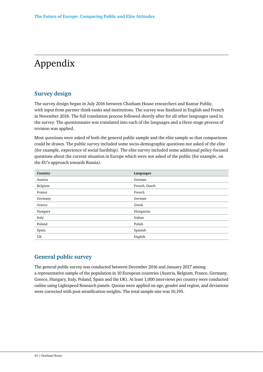# <span id="page-43-0"></span>Appendix

# **Survey design**

The survey design began in July 2016 between Chatham House researchers and Kantar Public, with input from partner think-tanks and institutions. The survey was finalized in English and French in November 2016. The full translation process followed shortly after for all other languages used in the survey. The questionnaire was translated into each of the languages and a three-stage process of revision was applied.

Most questions were asked of both the general public sample and the elite sample so that comparisons could be drawn. The public survey included some socio-demographic questions not asked of the elite (for example, experience of social hardship). The elite survey included some additional policy-focused questions about the current situation in Europe which were not asked of the public (for example, on the EU's approach towards Russia).

| Country | Languages     |
|---------|---------------|
| Austria | German        |
| Belgium | French, Dutch |
| France  | French        |
| Germany | German        |
| Greece  | Greek         |
| Hungary | Hungarian     |
| Italy   | Italian       |
| Poland  | Polish        |
| Spain   | Spanish       |
| UK      | English       |

# **General public survey**

The general public survey was conducted between December 2016 and January 2017 among a representative sample of the population in 10 European countries (Austria, Belgium, France, Germany, Greece, Hungary, Italy, Poland, Spain and the UK). At least 1,000 interviews per country were conducted online using Lightspeed Research panels. Quotas were applied on age, gender and region, and deviations were corrected with post-stratification weights. The total sample size was 10,195.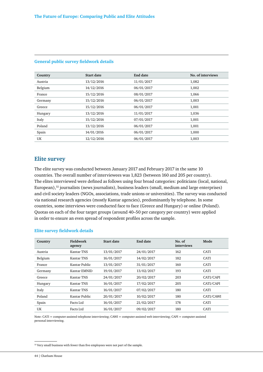| Country | <b>Start date</b> | <b>End date</b> |       |
|---------|-------------------|-----------------|-------|
| Austria | 13/12/2016        | 11/01/2017      | 1,082 |
| Belgium | 14/12/2016        | 06/01/2017      | 1,002 |
| France  | 15/12/2016        | 08/01/2017      | 1,066 |
| Germany | 15/12/2016        | 06/01/2017      | 1,003 |
| Greece  | 15/12/2016        | 06/01/2017      | 1,001 |
| Hungary | 13/12/2016        | 11/01/2017      | 1,036 |
| Italy   | 15/12/2016        | 07/01/2017      | 1,001 |
| Poland  | 13/12/2016        | 06/01/2017      | 1,001 |
| Spain   | 14/01/2016        | 06/01/2017      | 1,000 |
| UK      | 12/12/2016        | 06/01/2017      | 1,003 |
|         |                   |                 |       |

#### **General public survey fieldwork details**

### **Elite survey**

The elite survey was conducted between January 2017 and February 2017 in the same 10 countries. The overall number of interviewees was 1,823 (between 160 and 205 per country). The elites interviewed were defined as follows using four broad categories: politicians (local, national, European),<sup>32</sup> journalists (news journalists), business leaders (small, medium and large enterprises) and civil society leaders (NGOs, associations, trade unions or universities). The survey was conducted via national research agencies (mostly Kantar agencies), predominantly by telephone. In some countries, some interviews were conducted face to face (Greece and Hungary) or online (Poland). Quotas on each of the four target groups (around 40–50 per category per country) were applied in order to ensure an even spread of respondent profiles across the sample.

| Country | <b>Fieldwork</b><br>agency | <b>Start date</b> | <b>End date</b> | No. of<br>interviews | Mode        |
|---------|----------------------------|-------------------|-----------------|----------------------|-------------|
| Austria | Kantar TNS                 | 13/01/2017        | 24/01/2017      | 162                  | <b>CATI</b> |
| Belgium | Kantar TNS                 | 16/01/2017        | 14/02/2017      | 182                  | CATI        |
| France  | Kantar Public              | 13/01/2017        | 31/01/2017      | 160                  | CATI        |
| Germany | Kantar EMNID               | 19/01/2017        | 13/02/2017      | 193                  | <b>CATI</b> |
| Greece  | Kantar TNS                 | 24/01/2017        | 20/02/2017      | 203                  | CATI/CAPI   |
| Hungary | Kantar TNS                 | 16/01/2017        | 17/02/2017      | 205                  | CATI/CAPI   |
| Italy   | Kantar TNS                 | 16/01/2017        | 07/02/2017      | 180                  | CATI        |
| Poland  | Kantar Public              | 20/01/2017        | 10/02/2017      | 180                  | CATI/CAWI   |
| Spain   | Facts Ltd                  | 16/01/2017        | 21/02/2017      | 178                  | CATI        |
| UK      | Facts Ltd                  | 16/01/2017        | 09/02/2017      | 180                  | <b>CATI</b> |

#### **Elite survey fieldwork details**

Note: CATI = computer-assisted telephone interviewing; CAWI = computer-assisted web interviewing; CAPI = computer-assisted personal interviewing.

 $^{32}$  Very small business with fewer than five employees were not part of the sample.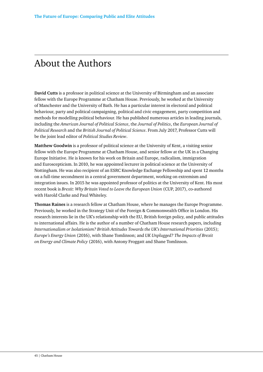# <span id="page-45-0"></span>About the Authors

**David Cutts** is a professor in political science at the University of Birmingham and an associate fellow with the Europe Programme at Chatham House. Previously, he worked at the University of Manchester and the University of Bath. He has a particular interest in electoral and political behaviour, party and political campaigning, political and civic engagement, party competition and methods for modelling political behaviour. He has published numerous articles in leading journals, including the *American Journal of Political Science*, the *Journal of Politics*, the *European Journal of Political Research* and the *British Journal of Political Science*. From July 2017, Professor Cutts will be the joint lead editor of *Political Studies Review*.

**Matthew Goodwin** is a professor of political science at the University of Kent, a visiting senior fellow with the Europe Programme at Chatham House, and senior fellow at the UK in a Changing Europe Initiative. He is known for his work on Britain and Europe, radicalism, immigration and Euroscepticism. In 2010, he was appointed lecturer in political science at the University of Nottingham. He was also recipient of an ESRC Knowledge Exchange Fellowship and spent 12 months on a full-time secondment in a central government department, working on extremism and integration issues. In 2015 he was appointed professor of politics at the University of Kent. His most recent book is *Brexit: Why Britain Voted to Leave the European Union* (CUP, 2017), co-authored with Harold Clarke and Paul Whiteley.

**Thomas Raines** is a research fellow at Chatham House, where he manages the Europe Programme. Previously, he worked in the Strategy Unit of the Foreign & Commonwealth Office in London. His research interests lie in the UK's relationship with the EU, British foreign policy, and public attitudes to international affairs. He is the author of a number of Chatham House research papers, including *Internationalism or Isolationism? British Attitudes Towards the UK's International Priorities* (2015); *Europe's Energy Union* (2016), with Shane Tomlinson; and *UK Unplugged? The Impacts of Brexit on Energy and Climate Policy* (2016), with Antony Froggatt and Shane Tomlinson.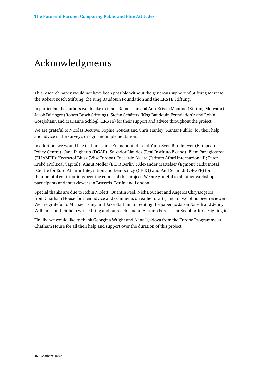# <span id="page-46-0"></span>Acknowledgments

This research paper would not have been possible without the generous support of Stiftung Mercator, the Robert Bosch Stiftung, the King Baudouin Foundation and the ERSTE Stiftung.

In particular, the authors would like to thank Rana Islam and Ann-Kristin Montino (Stiftung Mercator); Jacob Düringer (Robert Bosch Stiftung); Stefan Schäfers (King Baudouin Foundation); and Robin Gosejohann and Marianne Schlögl (ERSTE) for their support and advice throughout the project.

We are grateful to Nicolas Becuwe, Sophie Goudet and Chris Hanley (Kantar Public) for their help and advice in the survey's design and implementation.

In addition, we would like to thank Janis Emmanouilidis and Yann-Sven Rittelmeyer (European Policy Centre); Jana Puglierin (DGAP); Salvador Llaudes (Real Instituto Elcano); Eleni Panagiotarea (ELIAMEP); Krzysztof Blusz (WiseEuropa); Riccardo Alcaro (Istituto Affari Internazionali); Péter Krekó (Political Capital); Almut Möller (ECFR Berlin); Alexander Mattelaer (Egmont); Edit Inotai (Centre for Euro-Atlantic Integration and Democracy (CEID)) and Paul Schmidt (OEGFE) for their helpful contributions over the course of this project. We are grateful to all other workshop participants and interviewees in Brussels, Berlin and London.

Special thanks are due to Robin Niblett, Quentin Peel, Nick Bouchet and Angelos Chryssogelos from Chatham House for their advice and comments on earlier drafts, and to two blind peer reviewers. We are grateful to Michael Tsang and Jake Statham for editing the paper, to Jason Naselli and Jenny Williams for their help with editing and outreach, and to Autumn Forecast at Soapbox for designing it.

Finally, we would like to thank Georgina Wright and Alina Lyadova from the Europe Programme at Chatham House for all their help and support over the duration of this project.